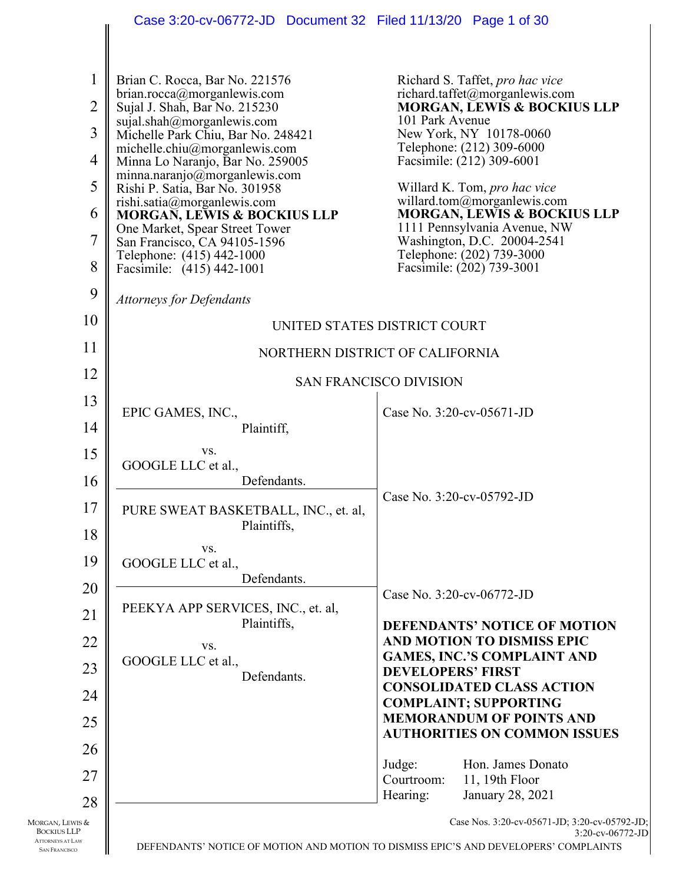|                                                                                          | Case 3:20-cv-06772-JD  Document 32  Filed 11/13/20  Page 1 of 30      |                                                                                                                                                           |
|------------------------------------------------------------------------------------------|-----------------------------------------------------------------------|-----------------------------------------------------------------------------------------------------------------------------------------------------------|
| 1                                                                                        | Brian C. Rocca, Bar No. 221576                                        | Richard S. Taffet, pro hac vice                                                                                                                           |
| $\overline{2}$                                                                           | brian.rocca@morganlewis.com<br>Sujal J. Shah, Bar No. 215230          | richard.taffet@morganlewis.com<br><b>MORGAN, LEWIS &amp; BOCKIUS LLP</b>                                                                                  |
| 3                                                                                        | sujal.shah@morganlewis.com<br>Michelle Park Chiu, Bar No. 248421      | 101 Park Avenue<br>New York, NY 10178-0060                                                                                                                |
| 4                                                                                        | michelle.chiu@morganlewis.com<br>Minna Lo Naranjo, Bar No. 259005     | Telephone: (212) 309-6000<br>Facsimile: (212) 309-6001                                                                                                    |
| 5                                                                                        | minna.naranjo@morganlewis.com<br>Rishi P. Satia, Bar No. 301958       | Willard K. Tom, pro hac vice                                                                                                                              |
| 6                                                                                        | rishi.satia@morganlewis.com<br><b>MORGAN, LEWIS &amp; BOCKIUS LLP</b> | willard.tom@morganlewis.com<br><b>MORGAN, LEWIS &amp; BOCKIUS LLP</b>                                                                                     |
| 7                                                                                        | One Market, Spear Street Tower<br>San Francisco, CA 94105-1596        | 1111 Pennsylvania Avenue, NW<br>Washington, D.C. 20004-2541                                                                                               |
| 8                                                                                        | Telephone: (415) 442-1000<br>Facsimile: (415) 442-1001                | Telephone: (202) 739-3000<br>Facsimile: (202) 739-3001                                                                                                    |
| 9                                                                                        |                                                                       |                                                                                                                                                           |
| 10                                                                                       | <b>Attorneys for Defendants</b>                                       |                                                                                                                                                           |
| 11                                                                                       |                                                                       | UNITED STATES DISTRICT COURT                                                                                                                              |
| 12                                                                                       |                                                                       | NORTHERN DISTRICT OF CALIFORNIA                                                                                                                           |
| 13                                                                                       |                                                                       | <b>SAN FRANCISCO DIVISION</b>                                                                                                                             |
| 14                                                                                       | EPIC GAMES, INC.,<br>Plaintiff,                                       | Case No. 3:20-cv-05671-JD                                                                                                                                 |
| 15                                                                                       | VS.                                                                   |                                                                                                                                                           |
| 16                                                                                       | GOOGLE LLC et al.,<br>Defendants.                                     |                                                                                                                                                           |
| 17                                                                                       | PURE SWEAT BASKETBALL, INC., et. al,                                  | Case No. 3:20-cv-05792-JD                                                                                                                                 |
| 18                                                                                       | Plaintiffs,                                                           |                                                                                                                                                           |
| 19                                                                                       | VS.<br>GOOGLE LLC et al.,                                             |                                                                                                                                                           |
| 20                                                                                       | Defendants.                                                           |                                                                                                                                                           |
| 21                                                                                       | PEEKYA APP SERVICES, INC., et. al,                                    | Case No. 3:20-cv-06772-JD                                                                                                                                 |
| 22                                                                                       | Plaintiffs,<br>VS.                                                    | <b>DEFENDANTS' NOTICE OF MOTION</b><br>AND MOTION TO DISMISS EPIC                                                                                         |
| 23                                                                                       | GOOGLE LLC et al.,                                                    | <b>GAMES, INC.'S COMPLAINT AND</b><br><b>DEVELOPERS' FIRST</b>                                                                                            |
| 24                                                                                       | Defendants.                                                           | <b>CONSOLIDATED CLASS ACTION</b>                                                                                                                          |
| 25                                                                                       |                                                                       | <b>COMPLAINT; SUPPORTING</b><br><b>MEMORANDUM OF POINTS AND</b>                                                                                           |
| 26                                                                                       |                                                                       | <b>AUTHORITIES ON COMMON ISSUES</b>                                                                                                                       |
| 27                                                                                       |                                                                       | Hon. James Donato<br>Judge:<br>11, 19th Floor<br>Courtroom:                                                                                               |
| 28                                                                                       |                                                                       | January 28, 2021<br>Hearing:                                                                                                                              |
| MORGAN, LEWIS &<br><b>BOCKIUS LLP</b><br><b>ATTORNEYS AT LAW</b><br><b>SAN FRANCISCO</b> |                                                                       | Case Nos. 3:20-cv-05671-JD; 3:20-cv-05792-JD;<br>3:20-cv-06772-JD<br>DEFENDANTS' NOTICE OF MOTION AND MOTION TO DISMISS EPIC'S AND DEVELOPERS' COMPLAINTS |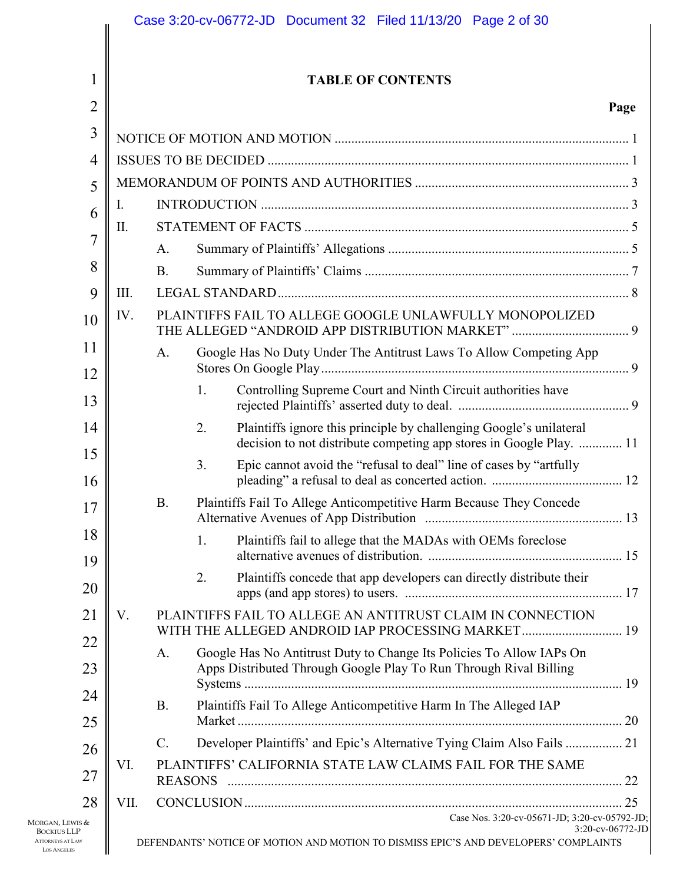| 1              |      |                | <b>TABLE OF CONTENTS</b>                                                                                                                         |      |
|----------------|------|----------------|--------------------------------------------------------------------------------------------------------------------------------------------------|------|
| $\overline{2}$ |      |                |                                                                                                                                                  | Page |
| 3              |      |                |                                                                                                                                                  |      |
| 4              |      |                |                                                                                                                                                  |      |
| 5              |      |                |                                                                                                                                                  |      |
| 6              | I.   |                |                                                                                                                                                  |      |
| 7              | Π.   |                |                                                                                                                                                  |      |
| 8              |      | A.             |                                                                                                                                                  |      |
|                |      | <b>B.</b>      |                                                                                                                                                  |      |
| 9              | Ш.   |                |                                                                                                                                                  |      |
| 10             | IV.  |                | PLAINTIFFS FAIL TO ALLEGE GOOGLE UNLAWFULLY MONOPOLIZED<br>THE ALLEGED "ANDROID APP DISTRIBUTION MARKET"  9                                      |      |
| 11<br>12       |      | A.             | Google Has No Duty Under The Antitrust Laws To Allow Competing App                                                                               |      |
| 13             |      |                | Controlling Supreme Court and Ninth Circuit authorities have<br>1.                                                                               |      |
| 14             |      |                | Plaintiffs ignore this principle by challenging Google's unilateral<br>2.<br>decision to not distribute competing app stores in Google Play.  11 |      |
| 15<br>16       |      |                | Epic cannot avoid the "refusal to deal" line of cases by "artfully<br>3.                                                                         |      |
| 17             |      | <b>B.</b>      | Plaintiffs Fail To Allege Anticompetitive Harm Because They Concede                                                                              |      |
| 18<br>19       |      |                | Plaintiffs fail to allege that the MADAs with OEMs foreclose<br>1.                                                                               |      |
| 20             |      |                | Plaintiffs concede that app developers can directly distribute their<br>2.                                                                       |      |
| 21             | V.   |                | PLAINTIFFS FAIL TO ALLEGE AN ANTITRUST CLAIM IN CONNECTION<br>WITH THE ALLEGED ANDROID IAP PROCESSING MARKET 19                                  |      |
| 22<br>23       |      | A.             | Google Has No Antitrust Duty to Change Its Policies To Allow IAPs On<br>Apps Distributed Through Google Play To Run Through Rival Billing        |      |
| 24             |      | <b>B.</b>      | Plaintiffs Fail To Allege Anticompetitive Harm In The Alleged IAP                                                                                |      |
| 25             |      |                |                                                                                                                                                  |      |
| 26             |      | $\mathbf{C}$ . | Developer Plaintiffs' and Epic's Alternative Tying Claim Also Fails  21                                                                          |      |
| 27             | VI.  |                | PLAINTIFFS' CALIFORNIA STATE LAW CLAIMS FAIL FOR THE SAME                                                                                        |      |
| 28             | VII. |                | Case Nos. 3:20-cv-05671-JD; 3:20-cv-05792-JD;                                                                                                    |      |

MORGAN, LEWIS & BOCKIUS LLP ATTORNEYS AT LA LOS ANGELES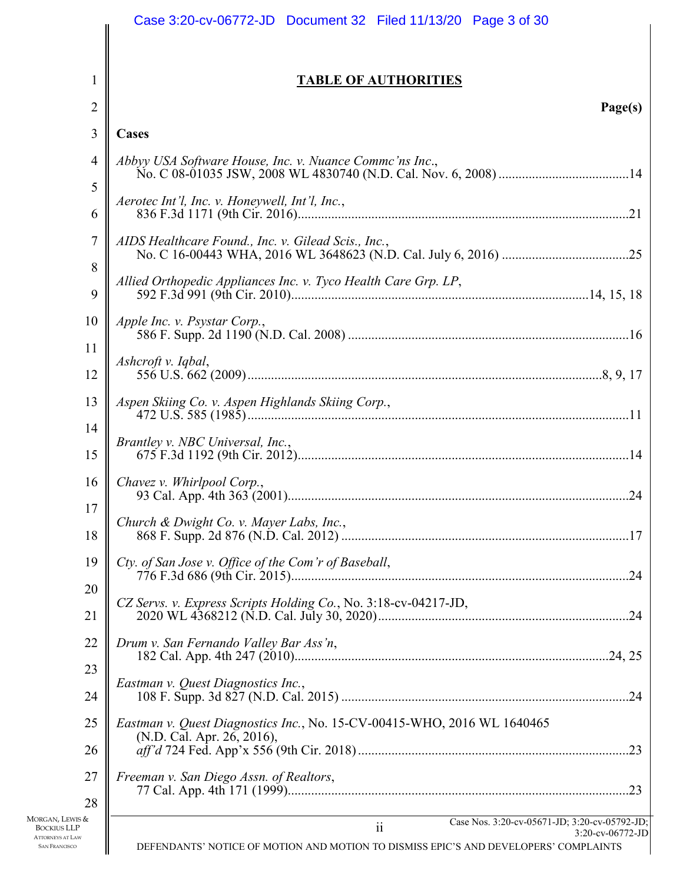|                                                                       | Case 3:20-cv-06772-JD  Document 32  Filed 11/13/20  Page 3 of 30                                                            |
|-----------------------------------------------------------------------|-----------------------------------------------------------------------------------------------------------------------------|
|                                                                       |                                                                                                                             |
| 1                                                                     | <b>TABLE OF AUTHORITIES</b>                                                                                                 |
| $\overline{2}$                                                        | Page(s)                                                                                                                     |
| 3                                                                     | Cases                                                                                                                       |
| $\overline{4}$                                                        | Abbyy USA Software House, Inc. v. Nuance Commc'ns Inc.,                                                                     |
| 5                                                                     |                                                                                                                             |
| 6                                                                     | Aerotec Int'l, Inc. v. Honeywell, Int'l, Inc.,                                                                              |
| 7                                                                     | AIDS Healthcare Found., Inc. v. Gilead Scis., Inc.,                                                                         |
| 8                                                                     |                                                                                                                             |
| 9                                                                     |                                                                                                                             |
| 10                                                                    | Apple Inc. v. Psystar Corp.,                                                                                                |
| 11<br>12                                                              | Ashcroft v. Iqbal,                                                                                                          |
| 13                                                                    | Aspen Skiing Co. v. Aspen Highlands Skiing Corp.,                                                                           |
| 14                                                                    | Brantley v. NBC Universal, Inc.,                                                                                            |
| 15                                                                    |                                                                                                                             |
| 16                                                                    | Chavez v. Whirlpool Corp.,                                                                                                  |
| 17<br>18                                                              | Church & Dwight Co. v. Mayer Labs, Inc.,                                                                                    |
| 19                                                                    | Cty. of San Jose v. Office of the Com'r of Baseball,                                                                        |
| 20                                                                    |                                                                                                                             |
| 21                                                                    | CZ Servs. v. Express Scripts Holding Co., No. 3:18-cv-04217-JD,                                                             |
| 22                                                                    | Drum v. San Fernando Valley Bar Ass'n,                                                                                      |
| 23                                                                    | Eastman v. Quest Diagnostics Inc.,                                                                                          |
| 24                                                                    |                                                                                                                             |
| 25                                                                    | Eastman v. Quest Diagnostics Inc., No. 15-CV-00415-WHO, 2016 WL 1640465<br>(N.D. Cal. Apr. 26, 2016),                       |
| 26                                                                    |                                                                                                                             |
| 27                                                                    | Freeman v. San Diego Assn. of Realtors,                                                                                     |
| 28<br>Morgan, Lewis &                                                 | Case Nos. 3:20-cv-05671-JD; 3:20-cv-05792-JD;                                                                               |
| <b>BOCKIUS LLP</b><br><b>ATTORNEYS AT LAW</b><br><b>SAN FRANCISCO</b> | $\ddot{\rm ii}$<br>3:20-cv-06772-JD<br>DEFENDANTS' NOTICE OF MOTION AND MOTION TO DISMISS EPIC'S AND DEVELOPERS' COMPLAINTS |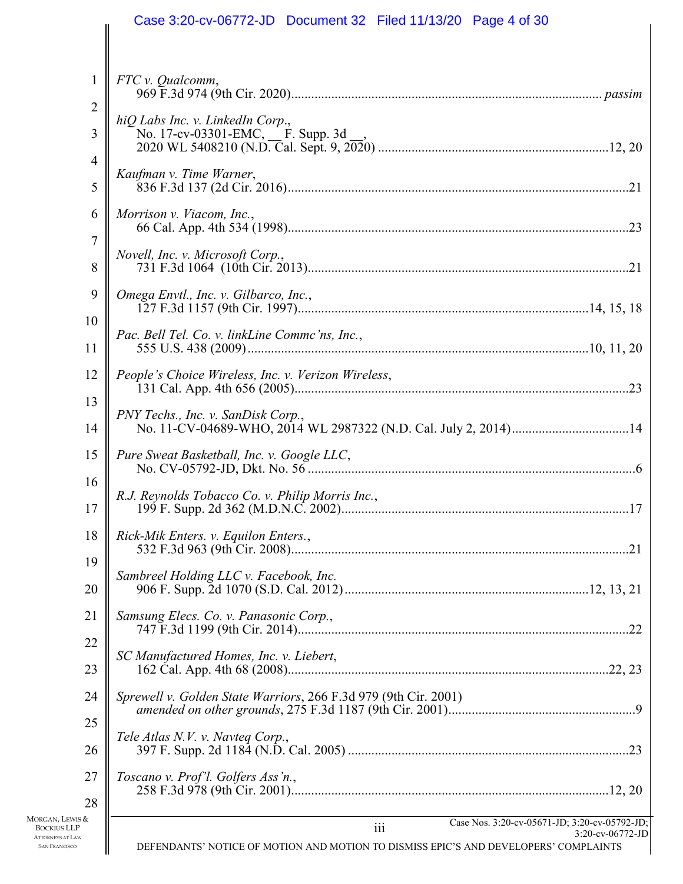| FTC v. Qualcomm,                                                     |                                               |
|----------------------------------------------------------------------|-----------------------------------------------|
| hiQ Labs Inc. v. LinkedIn Corp.,<br>No. 17-cv-03301-EMC, F. Supp. 3d |                                               |
| Kaufman v. Time Warner,                                              |                                               |
| Morrison v. Viacom, Inc.,                                            |                                               |
| Novell, Inc. v. Microsoft Corp.,                                     |                                               |
| Omega Envtl., Inc. v. Gilbarco, Inc.,                                |                                               |
| Pac. Bell Tel. Co. v. linkLine Commc'ns, Inc.,                       |                                               |
| People's Choice Wireless, Inc. v. Verizon Wireless,                  |                                               |
| PNY Techs., Inc. v. SanDisk Corp.,                                   |                                               |
| Pure Sweat Basketball, Inc. v. Google LLC,                           |                                               |
| R.J. Reynolds Tobacco Co. v. Philip Morris Inc.,                     |                                               |
| Rick-Mik Enters. v. Equilon Enters.,                                 |                                               |
| Sambreel Holding LLC v. Facebook, Inc.                               |                                               |
| Samsung Elecs. Co. v. Panasonic Corp.,                               |                                               |
| SC Manufactured Homes, Inc. v. Liebert,                              |                                               |
| Sprewell v. Golden State Warriors, 266 F.3d 979 (9th Cir. 2001)      |                                               |
| Tele Atlas N.V. v. Navteg Corp.,                                     |                                               |
| Toscano v. Prof'l. Golfers Ass'n.,                                   |                                               |
| 111                                                                  | Case Nos. 3:20-cv-05671-JD; 3:20-cv-05792-JD; |

MORGAN, LEWIS & BOCKIUS LLP ATTORNEYS AT LAW SAN FRANCISCO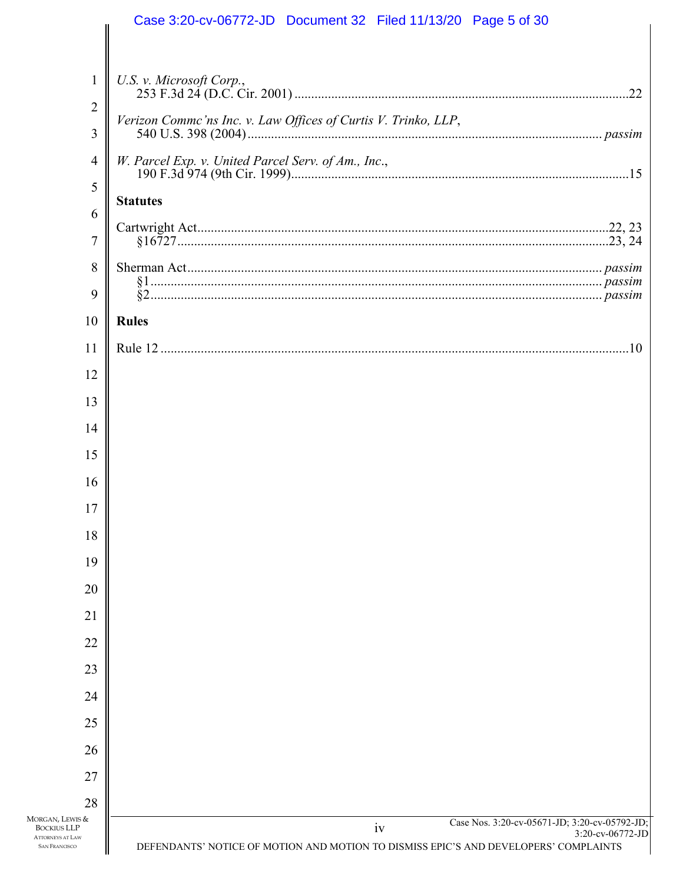|                                                 | Case 3:20-cv-06772-JD  Document 32  Filed 11/13/20  Page 5 of 30                                         |
|-------------------------------------------------|----------------------------------------------------------------------------------------------------------|
|                                                 |                                                                                                          |
| $\mathbf{1}$                                    | U.S. v. Microsoft Corp.,                                                                                 |
| $\overline{2}$                                  | Verizon Commc'ns Inc. v. Law Offices of Curtis V. Trinko, LLP,                                           |
| 3                                               |                                                                                                          |
| 4                                               | W. Parcel Exp. v. United Parcel Serv. of Am., Inc.,                                                      |
| 5                                               | <b>Statutes</b>                                                                                          |
| 6                                               |                                                                                                          |
| $\overline{7}$                                  |                                                                                                          |
| 8                                               |                                                                                                          |
| 9                                               |                                                                                                          |
| 10                                              | <b>Rules</b>                                                                                             |
| 11                                              |                                                                                                          |
| 12                                              |                                                                                                          |
| 13                                              |                                                                                                          |
| 14                                              |                                                                                                          |
| 15                                              |                                                                                                          |
| 16                                              |                                                                                                          |
| 17                                              |                                                                                                          |
| 18                                              |                                                                                                          |
| 19                                              |                                                                                                          |
| 20                                              |                                                                                                          |
| 21                                              |                                                                                                          |
| 22                                              |                                                                                                          |
| 23                                              |                                                                                                          |
| 24<br>25                                        |                                                                                                          |
|                                                 |                                                                                                          |
| 26<br>27                                        |                                                                                                          |
| 28                                              |                                                                                                          |
| MORGAN, LEWIS &<br><b>BOCKIUS LLP</b>           | Case Nos. 3:20-cv-05671-JD; 3:20-cv-05792-JD;<br>iv                                                      |
| <b>ATTORNEYS AT LAW</b><br><b>SAN FRANCISCO</b> | 3:20-cv-06772-JD<br>DEFENDANTS' NOTICE OF MOTION AND MOTION TO DISMISS EPIC'S AND DEVELOPERS' COMPLAINTS |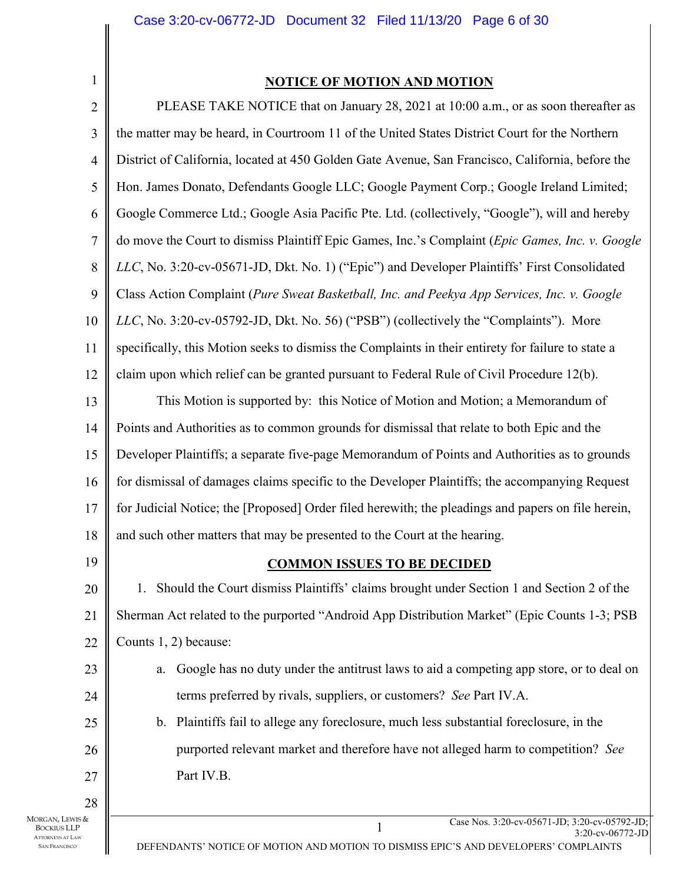1

SAN FRANCISCO

#### **NOTICE OF MOTION AND MOTION**

1 Case Nos. 3:20-cv-05671-JD; 3:20-cv-05792-JD; 3:20-cv-06772-JD 2 3 4 5 6 7 8 9 10 11 12 13 14 15 16 17 18 19 20 21 22 23 24 25 26 27 28 MORGAN, LEWIS & BOCKIUS LLP ATTORNEYS AT LAW PLEASE TAKE NOTICE that on January 28, 2021 at 10:00 a.m., or as soon thereafter as the matter may be heard, in Courtroom 11 of the United States District Court for the Northern District of California, located at 450 Golden Gate Avenue, San Francisco, California, before the Hon. James Donato, Defendants Google LLC; Google Payment Corp.; Google Ireland Limited; Google Commerce Ltd.; Google Asia Pacific Pte. Ltd. (collectively, "Google"), will and hereby do move the Court to dismiss Plaintiff Epic Games, Inc.'s Complaint (*Epic Games, Inc. v. Google LLC*, No. 3:20-cv-05671-JD, Dkt. No. 1) ("Epic") and Developer Plaintiffs' First Consolidated Class Action Complaint (*Pure Sweat Basketball, Inc. and Peekya App Services, Inc. v. Google LLC*, No. 3:20-cv-05792-JD, Dkt. No. 56) ("PSB") (collectively the "Complaints"). More specifically, this Motion seeks to dismiss the Complaints in their entirety for failure to state a claim upon which relief can be granted pursuant to Federal Rule of Civil Procedure 12(b). This Motion is supported by: this Notice of Motion and Motion; a Memorandum of Points and Authorities as to common grounds for dismissal that relate to both Epic and the Developer Plaintiffs; a separate five-page Memorandum of Points and Authorities as to grounds for dismissal of damages claims specific to the Developer Plaintiffs; the accompanying Request for Judicial Notice; the [Proposed] Order filed herewith; the pleadings and papers on file herein, and such other matters that may be presented to the Court at the hearing. **COMMON ISSUES TO BE DECIDED**  1. Should the Court dismiss Plaintiffs' claims brought under Section 1 and Section 2 of the Sherman Act related to the purported "Android App Distribution Market" (Epic Counts 1-3; PSB Counts 1, 2) because: a. Google has no duty under the antitrust laws to aid a competing app store, or to deal on terms preferred by rivals, suppliers, or customers? *See* Part IV.A. b. Plaintiffs fail to allege any foreclosure, much less substantial foreclosure, in the purported relevant market and therefore have not alleged harm to competition? *See* Part IV.B.

DEFENDANTS' NOTICE OF MOTION AND MOTION TO DISMISS EPIC'S AND DEVELOPERS' COMPLAINTS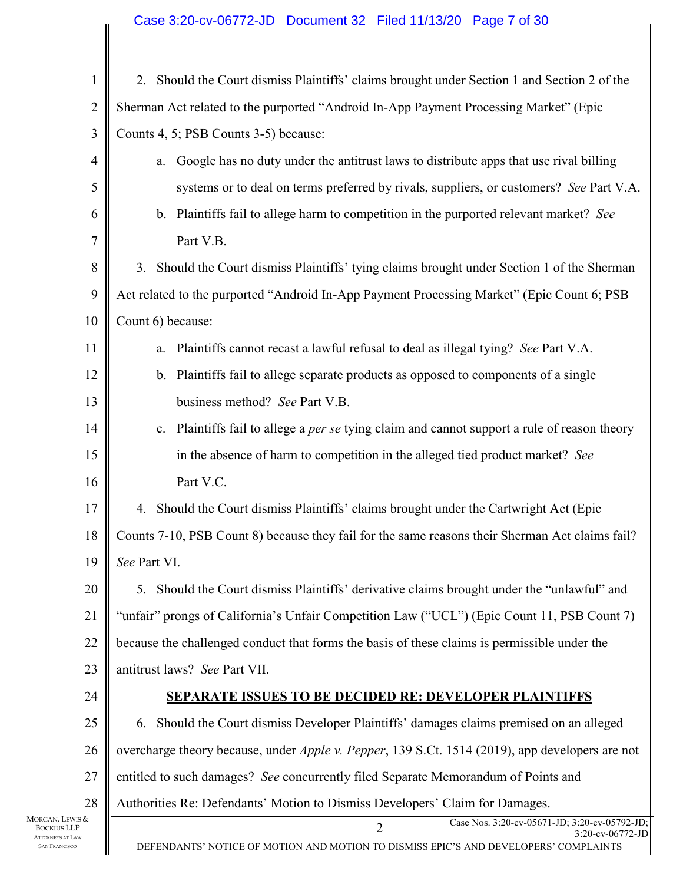## Case 3:20-cv-06772-JD Document 32 Filed 11/13/20 Page 7 of 30

| $\mathbf{1}$                                                                                                                              | 2. Should the Court dismiss Plaintiffs' claims brought under Section 1 and Section 2 of the                                                                                 |    |
|-------------------------------------------------------------------------------------------------------------------------------------------|-----------------------------------------------------------------------------------------------------------------------------------------------------------------------------|----|
| 2                                                                                                                                         | Sherman Act related to the purported "Android In-App Payment Processing Market" (Epic                                                                                       |    |
| $\mathfrak{Z}$                                                                                                                            | Counts 4, 5; PSB Counts 3-5) because:                                                                                                                                       |    |
| $\overline{4}$                                                                                                                            | Google has no duty under the antitrust laws to distribute apps that use rival billing<br>a.                                                                                 |    |
| 5                                                                                                                                         | systems or to deal on terms preferred by rivals, suppliers, or customers? See Part V.A.                                                                                     |    |
| 6                                                                                                                                         | b. Plaintiffs fail to allege harm to competition in the purported relevant market? See                                                                                      |    |
| $\overline{7}$                                                                                                                            | Part V.B.                                                                                                                                                                   |    |
| 8                                                                                                                                         | 3. Should the Court dismiss Plaintiffs' tying claims brought under Section 1 of the Sherman                                                                                 |    |
| 9                                                                                                                                         | Act related to the purported "Android In-App Payment Processing Market" (Epic Count 6; PSB                                                                                  |    |
| 10                                                                                                                                        | Count 6) because:                                                                                                                                                           |    |
| 11                                                                                                                                        | Plaintiffs cannot recast a lawful refusal to deal as illegal tying? See Part V.A.<br>a.                                                                                     |    |
| 12                                                                                                                                        | b. Plaintiffs fail to allege separate products as opposed to components of a single                                                                                         |    |
| 13                                                                                                                                        | business method? See Part V.B.                                                                                                                                              |    |
| 14                                                                                                                                        | c. Plaintiffs fail to allege a per se tying claim and cannot support a rule of reason theory                                                                                |    |
| 15                                                                                                                                        | in the absence of harm to competition in the alleged tied product market? See                                                                                               |    |
| 16                                                                                                                                        | Part V.C.                                                                                                                                                                   |    |
| 17                                                                                                                                        | 4. Should the Court dismiss Plaintiffs' claims brought under the Cartwright Act (Epic                                                                                       |    |
| 18                                                                                                                                        | Counts 7-10, PSB Count 8) because they fail for the same reasons their Sherman Act claims fail?                                                                             |    |
| 19                                                                                                                                        | See Part VI.                                                                                                                                                                |    |
| 20                                                                                                                                        | 5. Should the Court dismiss Plaintiffs' derivative claims brought under the "unlawful" and                                                                                  |    |
| 21                                                                                                                                        | "unfair" prongs of California's Unfair Competition Law ("UCL") (Epic Count 11, PSB Count 7)                                                                                 |    |
| 22<br>because the challenged conduct that forms the basis of these claims is permissible under the<br>23<br>antitrust laws? See Part VII. |                                                                                                                                                                             |    |
|                                                                                                                                           |                                                                                                                                                                             | 24 |
| 25                                                                                                                                        | 6. Should the Court dismiss Developer Plaintiffs' damages claims premised on an alleged                                                                                     |    |
| 26                                                                                                                                        | overcharge theory because, under <i>Apple v. Pepper</i> , 139 S.Ct. 1514 (2019), app developers are not                                                                     |    |
| 27                                                                                                                                        | entitled to such damages? See concurrently filed Separate Memorandum of Points and                                                                                          |    |
| 28<br>MORGAN, LEWIS &                                                                                                                     | Authorities Re: Defendants' Motion to Dismiss Developers' Claim for Damages.                                                                                                |    |
| BOCKIUS LLP<br><b>ATTORNEYS AT LAW</b><br><b>SAN FRANCISCO</b>                                                                            | Case Nos. 3:20-cv-05671-JD; 3:20-cv-05792-JD;<br>$\overline{2}$<br>3:20-cv-06772-JD<br>DEFENDANTS' NOTICE OF MOTION AND MOTION TO DISMISS EPIC'S AND DEVELOPERS' COMPLAINTS |    |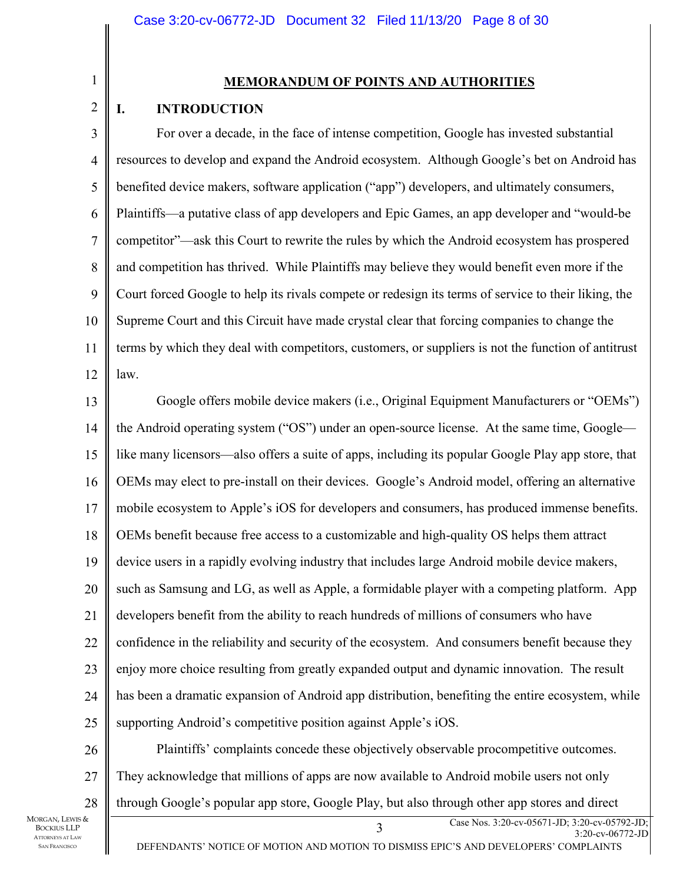1 2

### **MEMORANDUM OF POINTS AND AUTHORITIES**

### **I. INTRODUCTION**

3 4 5 6 7 8 9 10 11 12 For over a decade, in the face of intense competition, Google has invested substantial resources to develop and expand the Android ecosystem. Although Google's bet on Android has benefited device makers, software application ("app") developers, and ultimately consumers, Plaintiffs—a putative class of app developers and Epic Games, an app developer and "would-be competitor"—ask this Court to rewrite the rules by which the Android ecosystem has prospered and competition has thrived. While Plaintiffs may believe they would benefit even more if the Court forced Google to help its rivals compete or redesign its terms of service to their liking, the Supreme Court and this Circuit have made crystal clear that forcing companies to change the terms by which they deal with competitors, customers, or suppliers is not the function of antitrust law.

13 14 15 16 17 18 19 20 21 22 23 24 25 26 Google offers mobile device makers (i.e., Original Equipment Manufacturers or "OEMs") the Android operating system ("OS") under an open-source license. At the same time, Google like many licensors—also offers a suite of apps, including its popular Google Play app store, that OEMs may elect to pre-install on their devices. Google's Android model, offering an alternative mobile ecosystem to Apple's iOS for developers and consumers, has produced immense benefits. OEMs benefit because free access to a customizable and high-quality OS helps them attract device users in a rapidly evolving industry that includes large Android mobile device makers, such as Samsung and LG, as well as Apple, a formidable player with a competing platform. App developers benefit from the ability to reach hundreds of millions of consumers who have confidence in the reliability and security of the ecosystem. And consumers benefit because they enjoy more choice resulting from greatly expanded output and dynamic innovation. The result has been a dramatic expansion of Android app distribution, benefiting the entire ecosystem, while supporting Android's competitive position against Apple's iOS.

27 28 Plaintiffs' complaints concede these objectively observable procompetitive outcomes. They acknowledge that millions of apps are now available to Android mobile users not only through Google's popular app store, Google Play, but also through other app stores and direct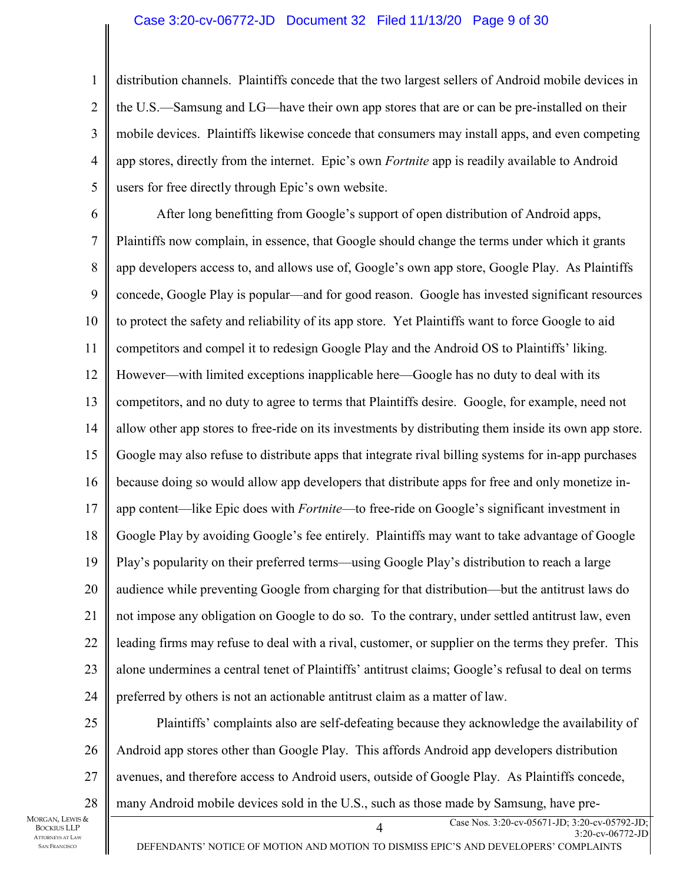#### Case 3:20-cv-06772-JD Document 32 Filed 11/13/20 Page 9 of 30

distribution channels. Plaintiffs concede that the two largest sellers of Android mobile devices in the U.S.—Samsung and LG—have their own app stores that are or can be pre-installed on their mobile devices. Plaintiffs likewise concede that consumers may install apps, and even competing app stores, directly from the internet. Epic's own *Fortnite* app is readily available to Android users for free directly through Epic's own website.

6

1

2

3

4

5

7 8 9 10 11 12 13 14 15 16 17 18 19 20 21 22 23 24 After long benefitting from Google's support of open distribution of Android apps, Plaintiffs now complain, in essence, that Google should change the terms under which it grants app developers access to, and allows use of, Google's own app store, Google Play. As Plaintiffs concede, Google Play is popular—and for good reason. Google has invested significant resources to protect the safety and reliability of its app store. Yet Plaintiffs want to force Google to aid competitors and compel it to redesign Google Play and the Android OS to Plaintiffs' liking. However—with limited exceptions inapplicable here—Google has no duty to deal with its competitors, and no duty to agree to terms that Plaintiffs desire. Google, for example, need not allow other app stores to free-ride on its investments by distributing them inside its own app store. Google may also refuse to distribute apps that integrate rival billing systems for in-app purchases because doing so would allow app developers that distribute apps for free and only monetize inapp content—like Epic does with *Fortnite*—to free-ride on Google's significant investment in Google Play by avoiding Google's fee entirely. Plaintiffs may want to take advantage of Google Play's popularity on their preferred terms—using Google Play's distribution to reach a large audience while preventing Google from charging for that distribution—but the antitrust laws do not impose any obligation on Google to do so. To the contrary, under settled antitrust law, even leading firms may refuse to deal with a rival, customer, or supplier on the terms they prefer. This alone undermines a central tenet of Plaintiffs' antitrust claims; Google's refusal to deal on terms preferred by others is not an actionable antitrust claim as a matter of law.

25 26 27 28 Plaintiffs' complaints also are self-defeating because they acknowledge the availability of Android app stores other than Google Play. This affords Android app developers distribution avenues, and therefore access to Android users, outside of Google Play. As Plaintiffs concede, many Android mobile devices sold in the U.S., such as those made by Samsung, have pre-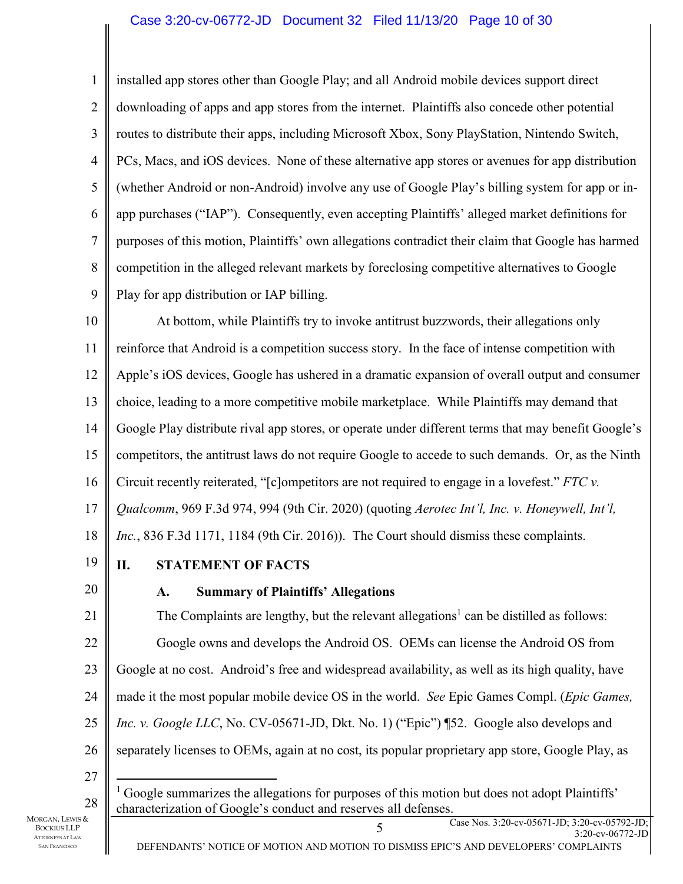#### Case 3:20-cv-06772-JD Document 32 Filed 11/13/20 Page 10 of 30

1 2 3 4 5 6 7 8 9 installed app stores other than Google Play; and all Android mobile devices support direct downloading of apps and app stores from the internet. Plaintiffs also concede other potential routes to distribute their apps, including Microsoft Xbox, Sony PlayStation, Nintendo Switch, PCs, Macs, and iOS devices. None of these alternative app stores or avenues for app distribution (whether Android or non-Android) involve any use of Google Play's billing system for app or inapp purchases ("IAP"). Consequently, even accepting Plaintiffs' alleged market definitions for purposes of this motion, Plaintiffs' own allegations contradict their claim that Google has harmed competition in the alleged relevant markets by foreclosing competitive alternatives to Google Play for app distribution or IAP billing.

10 11 12 13 14 15 16 17 18 At bottom, while Plaintiffs try to invoke antitrust buzzwords, their allegations only reinforce that Android is a competition success story. In the face of intense competition with Apple's iOS devices, Google has ushered in a dramatic expansion of overall output and consumer choice, leading to a more competitive mobile marketplace. While Plaintiffs may demand that Google Play distribute rival app stores, or operate under different terms that may benefit Google's competitors, the antitrust laws do not require Google to accede to such demands. Or, as the Ninth Circuit recently reiterated, "[c]ompetitors are not required to engage in a lovefest." *FTC v. Qualcomm*, 969 F.3d 974, 994 (9th Cir. 2020) (quoting *Aerotec Int'l, Inc. v. Honeywell, Int'l, Inc.*, 836 F.3d 1171, 1184 (9th Cir. 2016)). The Court should dismiss these complaints.

19

# **II. STATEMENT OF FACTS**

20

# **A. Summary of Plaintiffs' Allegations**

21 22 23 24 25 26 The Complaints are lengthy, but the relevant allegations<sup>1</sup> can be distilled as follows: Google owns and develops the Android OS. OEMs can license the Android OS from Google at no cost. Android's free and widespread availability, as well as its high quality, have made it the most popular mobile device OS in the world. *See* Epic Games Compl. (*Epic Games, Inc. v. Google LLC*, No. CV-05671-JD, Dkt. No. 1) ("Epic") ¶52. Google also develops and separately licenses to OEMs, again at no cost, its popular proprietary app store, Google Play, as

27

<sup>28</sup>   $<sup>1</sup>$  Google summarizes the allegations for purposes of this motion but does not adopt Plaintiffs'</sup> characterization of Google's conduct and reserves all defenses.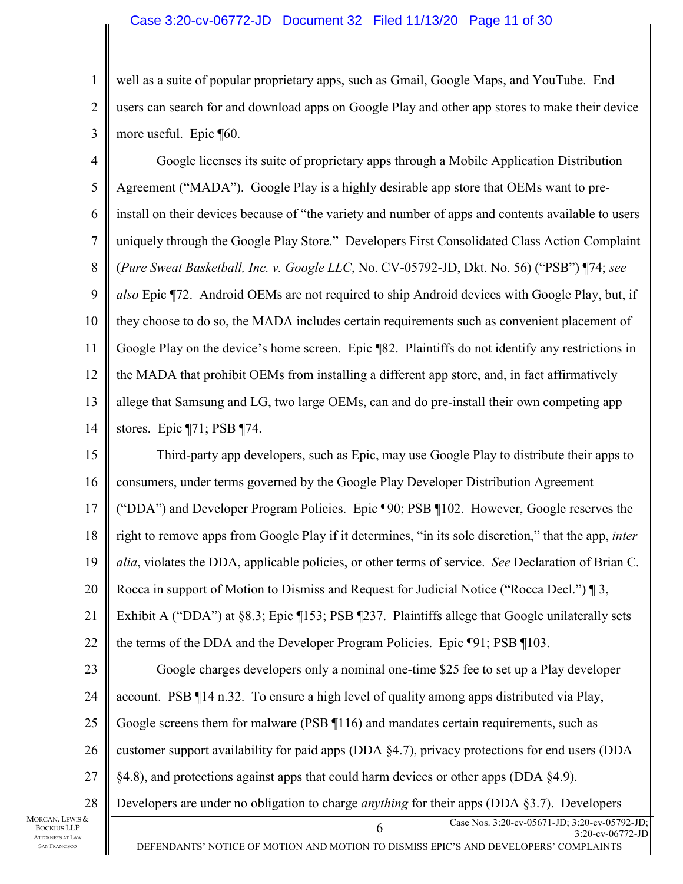#### Case 3:20-cv-06772-JD Document 32 Filed 11/13/20 Page 11 of 30

1 2 3 well as a suite of popular proprietary apps, such as Gmail, Google Maps, and YouTube. End users can search for and download apps on Google Play and other app stores to make their device more useful. Epic ¶60.

4 5 6 7 8 9 10 11 12 13 14 Google licenses its suite of proprietary apps through a Mobile Application Distribution Agreement ("MADA"). Google Play is a highly desirable app store that OEMs want to preinstall on their devices because of "the variety and number of apps and contents available to users uniquely through the Google Play Store." Developers First Consolidated Class Action Complaint (*Pure Sweat Basketball, Inc. v. Google LLC*, No. CV-05792-JD, Dkt. No. 56) ("PSB") ¶74; *see also* Epic ¶72. Android OEMs are not required to ship Android devices with Google Play, but, if they choose to do so, the MADA includes certain requirements such as convenient placement of Google Play on the device's home screen. Epic ¶82. Plaintiffs do not identify any restrictions in the MADA that prohibit OEMs from installing a different app store, and, in fact affirmatively allege that Samsung and LG, two large OEMs, can and do pre-install their own competing app stores. Epic ¶71; PSB ¶74.

15 16 17 18 19 20 21 22 23 24 25 26 27 Third-party app developers, such as Epic, may use Google Play to distribute their apps to consumers, under terms governed by the Google Play Developer Distribution Agreement ("DDA") and Developer Program Policies. Epic ¶90; PSB ¶102. However, Google reserves the right to remove apps from Google Play if it determines, "in its sole discretion," that the app, *inter alia*, violates the DDA, applicable policies, or other terms of service. *See* Declaration of Brian C. Rocca in support of Motion to Dismiss and Request for Judicial Notice ("Rocca Decl.") ¶ 3, Exhibit A ("DDA") at §8.3; Epic ¶153; PSB ¶237. Plaintiffs allege that Google unilaterally sets the terms of the DDA and the Developer Program Policies. Epic ¶91; PSB ¶103. Google charges developers only a nominal one-time \$25 fee to set up a Play developer account. PSB ¶14 n.32. To ensure a high level of quality among apps distributed via Play, Google screens them for malware (PSB ¶116) and mandates certain requirements, such as customer support availability for paid apps (DDA §4.7), privacy protections for end users (DDA §4.8), and protections against apps that could harm devices or other apps (DDA §4.9).

28 Developers are under no obligation to charge *anything* for their apps (DDA §3.7). Developers

MORGAN, LEWIS & BOCKIUS LLP ATTORNEYS AT LAW SAN FRANCISCO

6 Case Nos. 3:20-cv-05671-JD; 3:20-cv-05792-JD;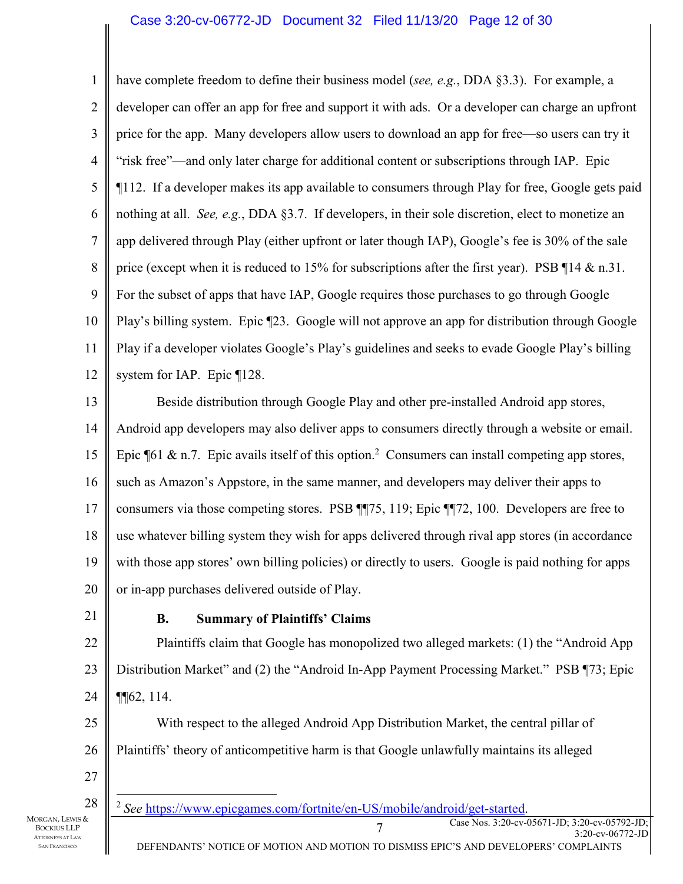1 2 3 4 5 6 7 8 9 10 11 12 have complete freedom to define their business model (*see, e.g.*, DDA §3.3). For example, a developer can offer an app for free and support it with ads. Or a developer can charge an upfront price for the app. Many developers allow users to download an app for free—so users can try it "risk free"—and only later charge for additional content or subscriptions through IAP. Epic ¶112. If a developer makes its app available to consumers through Play for free, Google gets paid nothing at all. *See, e.g.*, DDA §3.7. If developers, in their sole discretion, elect to monetize an app delivered through Play (either upfront or later though IAP), Google's fee is 30% of the sale price (except when it is reduced to 15% for subscriptions after the first year). PSB 114 & n.31. For the subset of apps that have IAP, Google requires those purchases to go through Google Play's billing system. Epic ¶23. Google will not approve an app for distribution through Google Play if a developer violates Google's Play's guidelines and seeks to evade Google Play's billing system for IAP. Epic ¶128.

13 14 15 16 17 18 19 20 Beside distribution through Google Play and other pre-installed Android app stores, Android app developers may also deliver apps to consumers directly through a website or email. Epic  $\llbracket 61 \& \text{n.7.}$  Epic avails itself of this option.<sup>2</sup> Consumers can install competing app stores, such as Amazon's Appstore, in the same manner, and developers may deliver their apps to consumers via those competing stores. PSB ¶¶75, 119; Epic ¶¶72, 100. Developers are free to use whatever billing system they wish for apps delivered through rival app stores (in accordance with those app stores' own billing policies) or directly to users. Google is paid nothing for apps or in-app purchases delivered outside of Play.

21

#### **B. Summary of Plaintiffs' Claims**

22 23 24 Plaintiffs claim that Google has monopolized two alleged markets: (1) the "Android App Distribution Market" and (2) the "Android In-App Payment Processing Market." PSB ¶73; Epic ¶¶62, 114.

25 26 27 With respect to the alleged Android App Distribution Market, the central pillar of Plaintiffs' theory of anticompetitive harm is that Google unlawfully maintains its alleged

28

T<br>
Case Nos. 3:20-cv-05671-JD; 3:20-cv-05792-JD;<br>
Case Nos. 3:20-cv-05671-JD; 3:20-cv-05792-JD; <sup>2</sup> See https://www.epicgames.com/fortnite/en-US/mobile/android/get-started.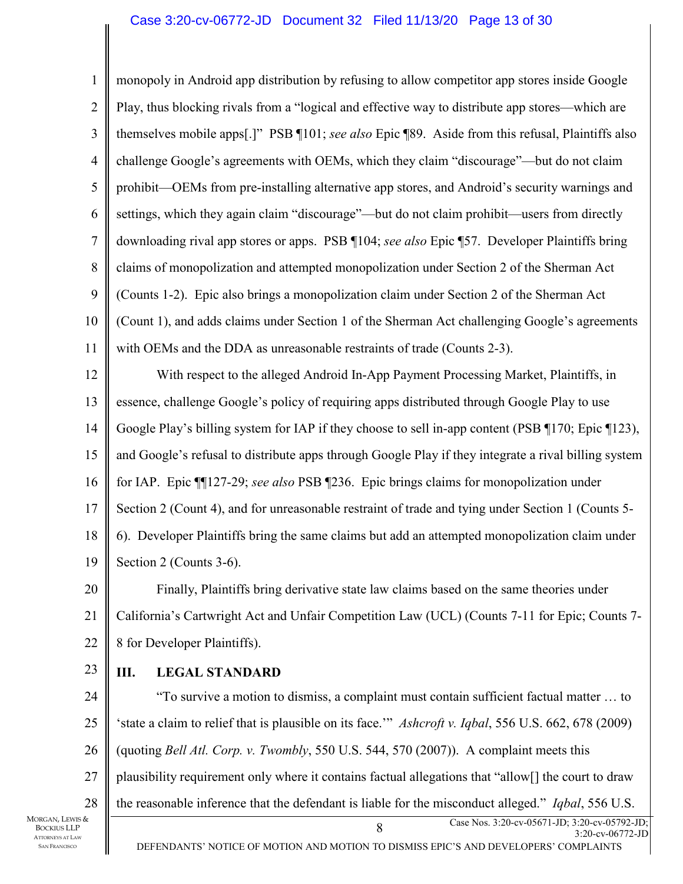#### Case 3:20-cv-06772-JD Document 32 Filed 11/13/20 Page 13 of 30

1 2 3 4 5 6 7 8 9 10 11 12 monopoly in Android app distribution by refusing to allow competitor app stores inside Google Play, thus blocking rivals from a "logical and effective way to distribute app stores—which are themselves mobile apps[.]" PSB ¶101; *see also* Epic ¶89. Aside from this refusal, Plaintiffs also challenge Google's agreements with OEMs, which they claim "discourage"—but do not claim prohibit—OEMs from pre-installing alternative app stores, and Android's security warnings and settings, which they again claim "discourage"—but do not claim prohibit—users from directly downloading rival app stores or apps. PSB ¶104; *see also* Epic ¶57. Developer Plaintiffs bring claims of monopolization and attempted monopolization under Section 2 of the Sherman Act (Counts 1-2). Epic also brings a monopolization claim under Section 2 of the Sherman Act (Count 1), and adds claims under Section 1 of the Sherman Act challenging Google's agreements with OEMs and the DDA as unreasonable restraints of trade (Counts 2-3). With respect to the alleged Android In-App Payment Processing Market, Plaintiffs, in

13 14 15 16 17 18 19 essence, challenge Google's policy of requiring apps distributed through Google Play to use Google Play's billing system for IAP if they choose to sell in-app content (PSB ¶170; Epic ¶123), and Google's refusal to distribute apps through Google Play if they integrate a rival billing system for IAP. Epic ¶¶127-29; *see also* PSB ¶236. Epic brings claims for monopolization under Section 2 (Count 4), and for unreasonable restraint of trade and tying under Section 1 (Counts 5- 6). Developer Plaintiffs bring the same claims but add an attempted monopolization claim under Section 2 (Counts 3-6).

20 21 22 Finally, Plaintiffs bring derivative state law claims based on the same theories under California's Cartwright Act and Unfair Competition Law (UCL) (Counts 7-11 for Epic; Counts 7- 8 for Developer Plaintiffs).

23

#### **III. LEGAL STANDARD**

24 25 26 27 28 "To survive a motion to dismiss, a complaint must contain sufficient factual matter … to 'state a claim to relief that is plausible on its face.'" *Ashcroft v. Iqbal*, 556 U.S. 662, 678 (2009) (quoting *Bell Atl. Corp. v. Twombly*, 550 U.S. 544, 570 (2007)). A complaint meets this plausibility requirement only where it contains factual allegations that "allow[] the court to draw the reasonable inference that the defendant is liable for the misconduct alleged." *Iqbal*, 556 U.S.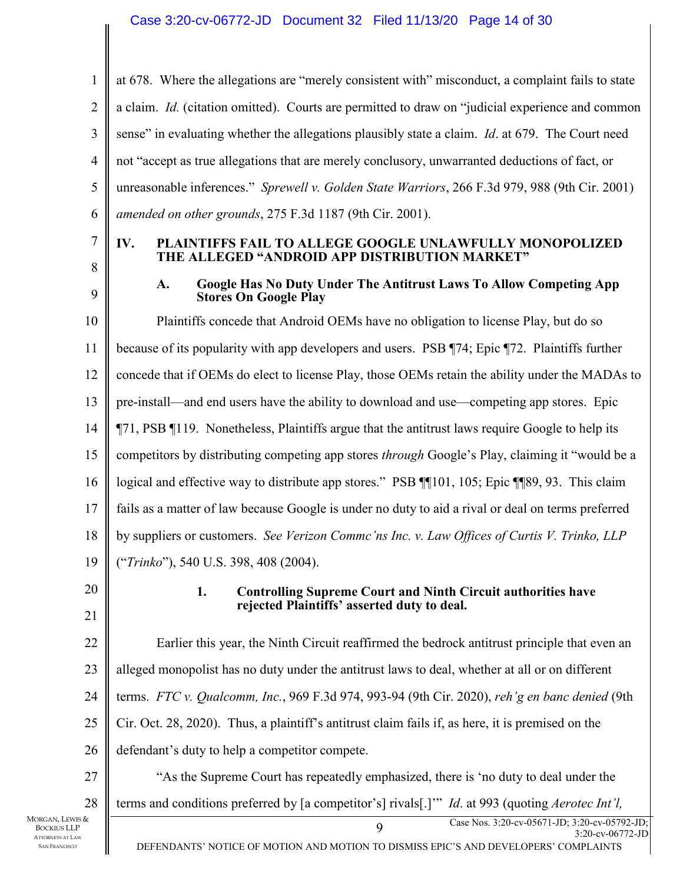#### Case 3:20-cv-06772-JD Document 32 Filed 11/13/20 Page 14 of 30

1 2 3 4 5 6 at 678. Where the allegations are "merely consistent with" misconduct, a complaint fails to state a claim. *Id.* (citation omitted). Courts are permitted to draw on "judicial experience and common sense" in evaluating whether the allegations plausibly state a claim. *Id*. at 679. The Court need not "accept as true allegations that are merely conclusory, unwarranted deductions of fact, or unreasonable inferences." *Sprewell v. Golden State Warriors*, 266 F.3d 979, 988 (9th Cir. 2001) *amended on other grounds*, 275 F.3d 1187 (9th Cir. 2001).

7

#### **IV. PLAINTIFFS FAIL TO ALLEGE GOOGLE UNLAWFULLY MONOPOLIZED THE ALLEGED "ANDROID APP DISTRIBUTION MARKET"**

8 9

#### **A. Google Has No Duty Under The Antitrust Laws To Allow Competing App Stores On Google Play**

10 11 12 13 14 15 16 17 18 19 Plaintiffs concede that Android OEMs have no obligation to license Play, but do so because of its popularity with app developers and users. PSB ¶74; Epic ¶72. Plaintiffs further concede that if OEMs do elect to license Play, those OEMs retain the ability under the MADAs to pre-install—and end users have the ability to download and use—competing app stores. Epic ¶71, PSB ¶119. Nonetheless, Plaintiffs argue that the antitrust laws require Google to help its competitors by distributing competing app stores *through* Google's Play, claiming it "would be a logical and effective way to distribute app stores." PSB ¶¶101, 105; Epic ¶¶89, 93. This claim fails as a matter of law because Google is under no duty to aid a rival or deal on terms preferred by suppliers or customers. *See Verizon Commc'ns Inc. v. Law Offices of Curtis V. Trinko, LLP* ("*Trinko*"), 540 U.S. 398, 408 (2004).

20 21

#### **1. Controlling Supreme Court and Ninth Circuit authorities have rejected Plaintiffs' asserted duty to deal.**

22 23 24 25 26 27 28 Earlier this year, the Ninth Circuit reaffirmed the bedrock antitrust principle that even an alleged monopolist has no duty under the antitrust laws to deal, whether at all or on different terms. *FTC v. Qualcomm, Inc.*, 969 F.3d 974, 993-94 (9th Cir. 2020), *reh'g en banc denied* (9th Cir. Oct. 28, 2020). Thus, a plaintiff's antitrust claim fails if, as here, it is premised on the defendant's duty to help a competitor compete. "As the Supreme Court has repeatedly emphasized, there is 'no duty to deal under the terms and conditions preferred by [a competitor's] rivals[.]'" *Id*. at 993 (quoting *Aerotec Int'l,*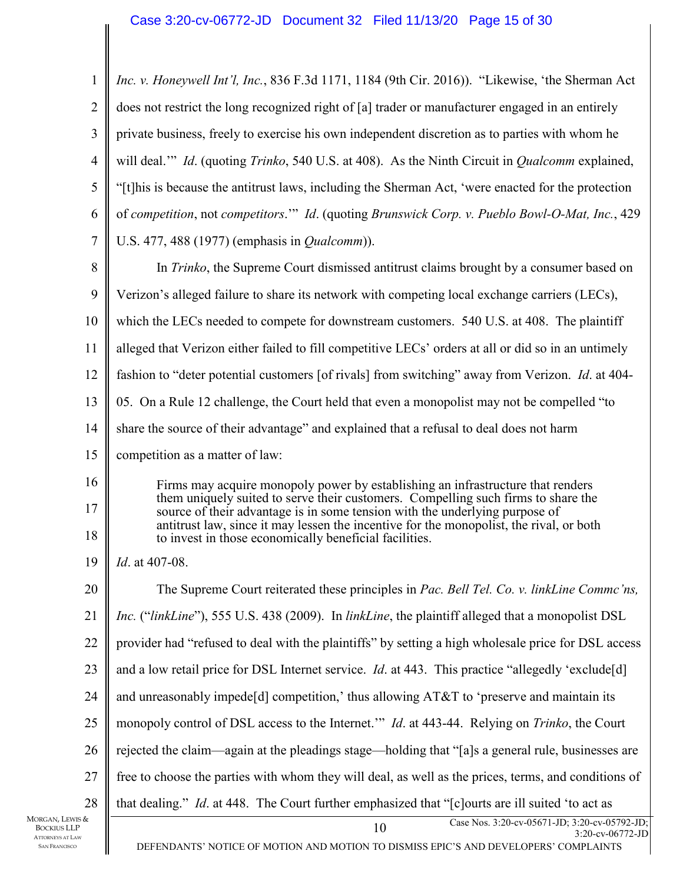| 1              | Inc. v. Honeywell Int'l, Inc., 836 F.3d 1171, 1184 (9th Cir. 2016)). "Likewise, 'the Sherman Act                                                                 |  |
|----------------|------------------------------------------------------------------------------------------------------------------------------------------------------------------|--|
| $\overline{2}$ | does not restrict the long recognized right of [a] trader or manufacturer engaged in an entirely                                                                 |  |
| 3              | private business, freely to exercise his own independent discretion as to parties with whom he                                                                   |  |
| $\overline{4}$ | will deal." Id. (quoting Trinko, 540 U.S. at 408). As the Ninth Circuit in <i>Qualcomm</i> explained,                                                            |  |
| 5              | "[t] his is because the antitrust laws, including the Sherman Act, 'were enacted for the protection                                                              |  |
| 6              | of competition, not competitors." Id. (quoting Brunswick Corp. v. Pueblo Bowl-O-Mat, Inc., 429                                                                   |  |
| 7              | U.S. 477, 488 (1977) (emphasis in <i>Qualcomm</i> )).                                                                                                            |  |
| 8              | In Trinko, the Supreme Court dismissed antitrust claims brought by a consumer based on                                                                           |  |
| 9              | Verizon's alleged failure to share its network with competing local exchange carriers (LECs),                                                                    |  |
| 10             | which the LECs needed to compete for downstream customers. 540 U.S. at 408. The plaintiff                                                                        |  |
| 11             | alleged that Verizon either failed to fill competitive LECs' orders at all or did so in an untimely                                                              |  |
| 12             | fashion to "deter potential customers [of rivals] from switching" away from Verizon. <i>Id.</i> at 404-                                                          |  |
| 13             | 05. On a Rule 12 challenge, the Court held that even a monopolist may not be compelled "to                                                                       |  |
| 14             | share the source of their advantage" and explained that a refusal to deal does not harm                                                                          |  |
| 15             | competition as a matter of law:                                                                                                                                  |  |
| 16             | Firms may acquire monopoly power by establishing an infrastructure that renders                                                                                  |  |
| 17             | them uniquely suited to serve their customers. Compelling such firms to share the<br>source of their advantage is in some tension with the underlying purpose of |  |
| 18             | antitrust law, since it may lessen the incentive for the monopolist, the rival, or both<br>to invest in those economically beneficial facilities.                |  |
| 19             | Id. at 407-08.                                                                                                                                                   |  |
| 20             | The Supreme Court reiterated these principles in Pac. Bell Tel. Co. v. linkLine Commc'ns,                                                                        |  |
| 21             | Inc. ("linkLine"), 555 U.S. 438 (2009). In linkLine, the plaintiff alleged that a monopolist DSL                                                                 |  |
| 22             | provider had "refused to deal with the plaintiffs" by setting a high wholesale price for DSL access                                                              |  |
| 23             | and a low retail price for DSL Internet service. <i>Id.</i> at 443. This practice "allegedly 'exclude[d]                                                         |  |
| 24             | and unreasonably impede[d] competition,' thus allowing AT&T to 'preserve and maintain its                                                                        |  |
| 25             | monopoly control of DSL access to the Internet." <i>Id.</i> at 443-44. Relying on <i>Trinko</i> , the Court                                                      |  |
| 26             | rejected the claim—again at the pleadings stage—holding that "[a]s a general rule, businesses are                                                                |  |
| 27             | free to choose the parties with whom they will deal, as well as the prices, terms, and conditions of                                                             |  |
| 28             | that dealing." <i>Id.</i> at 448. The Court further emphasized that "[c] ourts are ill suited 'to act as                                                         |  |
| &              | Case Nos. 3:20-cv-05671-JD; 3:20-cv-05792-JD;<br>10<br>3:20-cv-06772-JD<br>DEFENDANTS' NOTICE OF MOTION AND MOTION TO DISMISS EPIC'S AND DEVELOPERS' COMPLAINTS  |  |

MORGAN, LEWIS BOCKIUS LLP ATTORNEYS AT LAW SAN FRANCISCO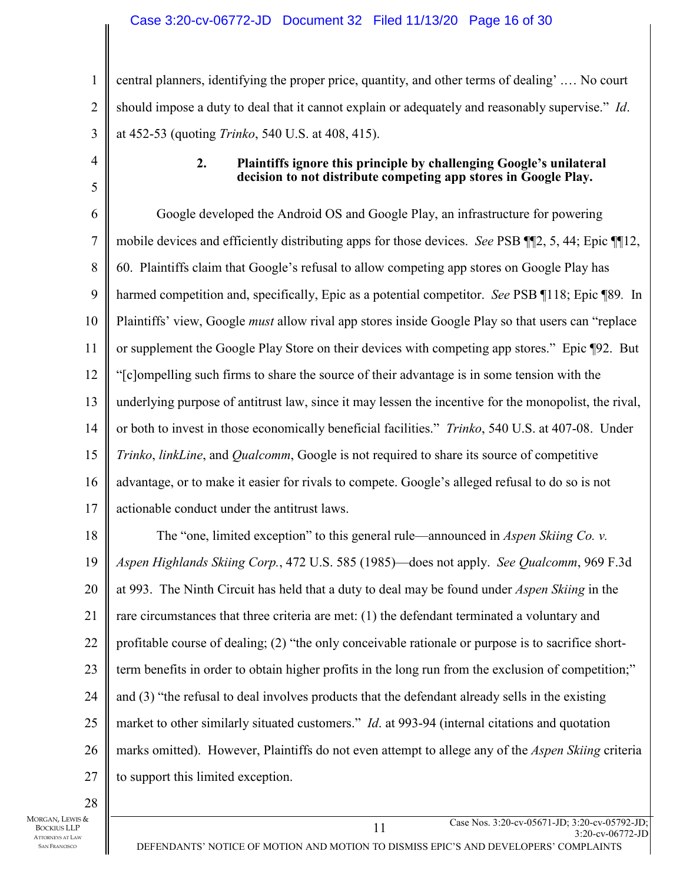#### Case 3:20-cv-06772-JD Document 32 Filed 11/13/20 Page 16 of 30

1 2 3 central planners, identifying the proper price, quantity, and other terms of dealing' .… No court should impose a duty to deal that it cannot explain or adequately and reasonably supervise." *Id*. at 452-53 (quoting *Trinko*, 540 U.S. at 408, 415).

4

5

#### **2. Plaintiffs ignore this principle by challenging Google's unilateral decision to not distribute competing app stores in Google Play.**

6 7 8 9 10 11 12 13 14 15 16 17 18 19 20 21 22 23 24 25 Google developed the Android OS and Google Play, an infrastructure for powering mobile devices and efficiently distributing apps for those devices. *See* PSB ¶¶2, 5, 44; Epic ¶¶12, 60. Plaintiffs claim that Google's refusal to allow competing app stores on Google Play has harmed competition and, specifically, Epic as a potential competitor. *See* PSB ¶118; Epic ¶89*.* In Plaintiffs' view, Google *must* allow rival app stores inside Google Play so that users can "replace or supplement the Google Play Store on their devices with competing app stores." Epic ¶92. But "[c]ompelling such firms to share the source of their advantage is in some tension with the underlying purpose of antitrust law, since it may lessen the incentive for the monopolist, the rival, or both to invest in those economically beneficial facilities." *Trinko*, 540 U.S. at 407-08. Under *Trinko*, *linkLine*, and *Qualcomm*, Google is not required to share its source of competitive advantage, or to make it easier for rivals to compete. Google's alleged refusal to do so is not actionable conduct under the antitrust laws. The "one, limited exception" to this general rule—announced in *Aspen Skiing Co. v. Aspen Highlands Skiing Corp.*, 472 U.S. 585 (1985)—does not apply. *See Qualcomm*, 969 F.3d at 993. The Ninth Circuit has held that a duty to deal may be found under *Aspen Skiing* in the rare circumstances that three criteria are met: (1) the defendant terminated a voluntary and profitable course of dealing; (2) "the only conceivable rationale or purpose is to sacrifice shortterm benefits in order to obtain higher profits in the long run from the exclusion of competition;" and (3) "the refusal to deal involves products that the defendant already sells in the existing market to other similarly situated customers." *Id*. at 993-94 (internal citations and quotation

26 27 marks omitted). However, Plaintiffs do not even attempt to allege any of the *Aspen Skiing* criteria to support this limited exception.

28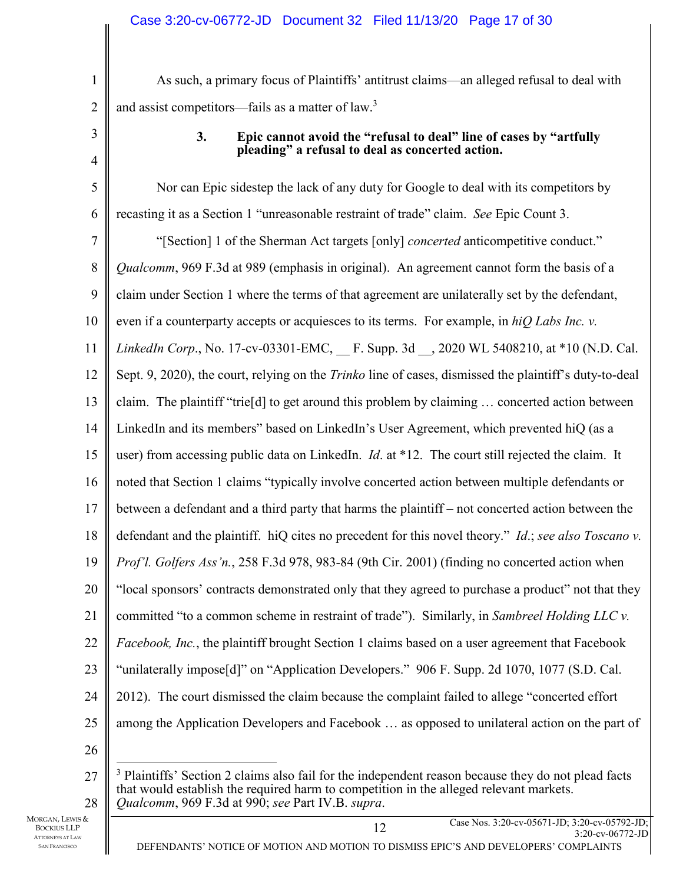As such, a primary focus of Plaintiffs' antitrust claims—an alleged refusal to deal with and assist competitors—fails as a matter of law.<sup>3</sup>

3

4

1

2

### **3. Epic cannot avoid the "refusal to deal" line of cases by "artfully pleading" a refusal to deal as concerted action.**

5 6 7 8 9 10 11 12 13 14 15 16 17 18 19 20 21 22 23 24 25 26 Nor can Epic sidestep the lack of any duty for Google to deal with its competitors by recasting it as a Section 1 "unreasonable restraint of trade" claim. *See* Epic Count 3. "[Section] 1 of the Sherman Act targets [only] *concerted* anticompetitive conduct." *Qualcomm*, 969 F.3d at 989 (emphasis in original). An agreement cannot form the basis of a claim under Section 1 where the terms of that agreement are unilaterally set by the defendant, even if a counterparty accepts or acquiesces to its terms. For example, in *hiQ Labs Inc. v. LinkedIn Corp.*, No. 17-cv-03301-EMC, F. Supp. 3d , 2020 WL 5408210, at \*10 (N.D. Cal.) Sept. 9, 2020), the court, relying on the *Trinko* line of cases, dismissed the plaintiff's duty-to-deal claim. The plaintiff "trie[d] to get around this problem by claiming … concerted action between LinkedIn and its members" based on LinkedIn's User Agreement, which prevented hiQ (as a user) from accessing public data on LinkedIn. *Id*. at \*12. The court still rejected the claim. It noted that Section 1 claims "typically involve concerted action between multiple defendants or between a defendant and a third party that harms the plaintiff – not concerted action between the defendant and the plaintiff. hiQ cites no precedent for this novel theory." *Id*.; *see also Toscano v. Prof'l. Golfers Ass'n.*, 258 F.3d 978, 983-84 (9th Cir. 2001) (finding no concerted action when "local sponsors' contracts demonstrated only that they agreed to purchase a product" not that they committed "to a common scheme in restraint of trade"). Similarly, in *Sambreel Holding LLC v. Facebook, Inc.*, the plaintiff brought Section 1 claims based on a user agreement that Facebook "unilaterally impose[d]" on "Application Developers." 906 F. Supp. 2d 1070, 1077 (S.D. Cal. 2012). The court dismissed the claim because the complaint failed to allege "concerted effort among the Application Developers and Facebook … as opposed to unilateral action on the part of

<sup>27</sup> 28 <sup>3</sup> Plaintiffs' Section 2 claims also fail for the independent reason because they do not plead facts that would establish the required harm to competition in the alleged relevant markets. *Qualcomm*, 969 F.3d at 990; *see* Part IV.B. *supra*.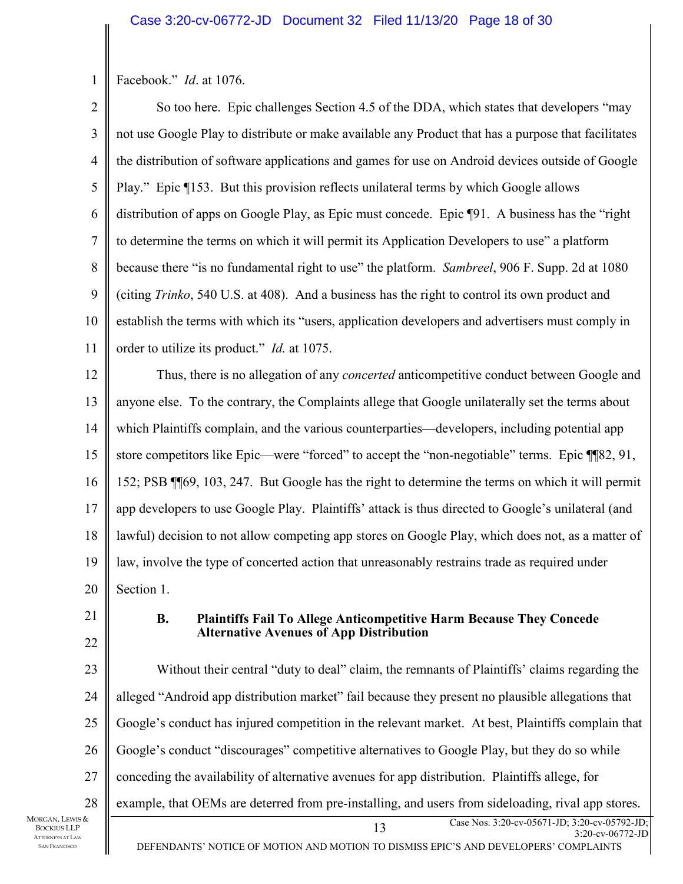1 Facebook." *Id*. at 1076.

2 3 4 5 6 7 8 9 10 11 So too here. Epic challenges Section 4.5 of the DDA, which states that developers "may not use Google Play to distribute or make available any Product that has a purpose that facilitates the distribution of software applications and games for use on Android devices outside of Google Play." Epic ¶153. But this provision reflects unilateral terms by which Google allows distribution of apps on Google Play, as Epic must concede. Epic ¶91. A business has the "right to determine the terms on which it will permit its Application Developers to use" a platform because there "is no fundamental right to use" the platform. *Sambreel*, 906 F. Supp. 2d at 1080 (citing *Trinko*, 540 U.S. at 408). And a business has the right to control its own product and establish the terms with which its "users, application developers and advertisers must comply in order to utilize its product." *Id.* at 1075.

12 13 14 15 16 17 18 19 20 Thus, there is no allegation of any *concerted* anticompetitive conduct between Google and anyone else. To the contrary, the Complaints allege that Google unilaterally set the terms about which Plaintiffs complain, and the various counterparties—developers, including potential app store competitors like Epic—were "forced" to accept the "non-negotiable" terms. Epic ¶¶82, 91, 152; PSB ¶¶69, 103, 247. But Google has the right to determine the terms on which it will permit app developers to use Google Play. Plaintiffs' attack is thus directed to Google's unilateral (and lawful) decision to not allow competing app stores on Google Play, which does not, as a matter of law, involve the type of concerted action that unreasonably restrains trade as required under Section 1.

21

22

#### **B. Plaintiffs Fail To Allege Anticompetitive Harm Because They Concede Alternative Avenues of App Distribution**

23 24 25 26 27 28 Without their central "duty to deal" claim, the remnants of Plaintiffs' claims regarding the alleged "Android app distribution market" fail because they present no plausible allegations that Google's conduct has injured competition in the relevant market. At best, Plaintiffs complain that Google's conduct "discourages" competitive alternatives to Google Play, but they do so while conceding the availability of alternative avenues for app distribution. Plaintiffs allege, for example, that OEMs are deterred from pre-installing, and users from sideloading, rival app stores.

MORGAN, LEWIS & BOCKIUS LLP ATTORNEYS AT LAW SAN FRANCISCO

DEFENDANTS' NOTICE OF MOTION AND MOTION TO DISMISS EPIC'S AND DEVELOPERS' COMPLAINTS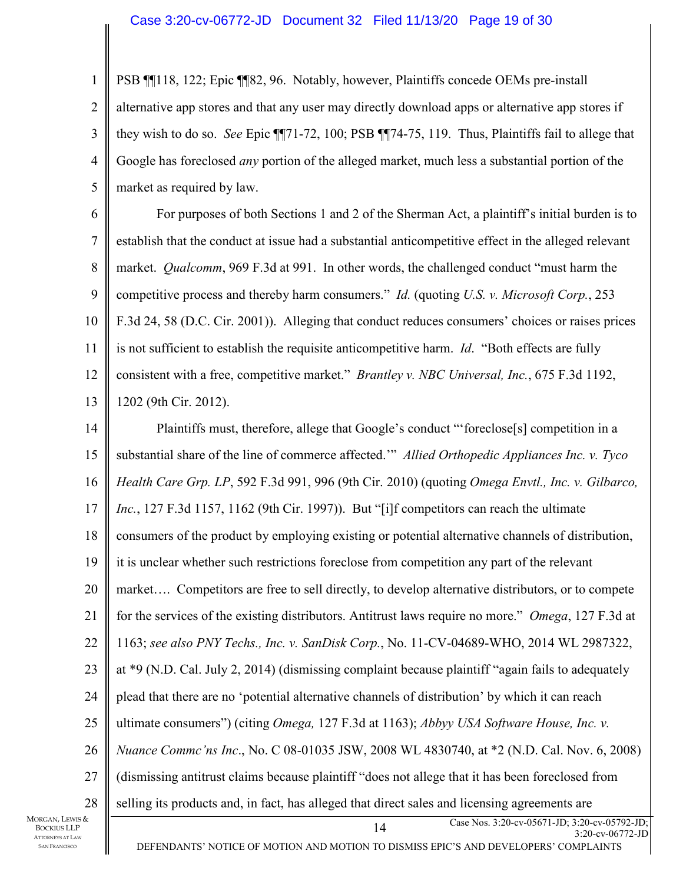#### Case 3:20-cv-06772-JD Document 32 Filed 11/13/20 Page 19 of 30

1 2 3 4 5 PSB ¶¶118, 122; Epic ¶¶82, 96. Notably, however, Plaintiffs concede OEMs pre-install alternative app stores and that any user may directly download apps or alternative app stores if they wish to do so. *See* Epic ¶¶71-72, 100; PSB ¶¶74-75, 119. Thus, Plaintiffs fail to allege that Google has foreclosed *any* portion of the alleged market, much less a substantial portion of the market as required by law.

6 7 8 9 10 11 12 13 For purposes of both Sections 1 and 2 of the Sherman Act, a plaintiff's initial burden is to establish that the conduct at issue had a substantial anticompetitive effect in the alleged relevant market. *Qualcomm*, 969 F.3d at 991. In other words, the challenged conduct "must harm the competitive process and thereby harm consumers." *Id.* (quoting *U.S. v. Microsoft Corp.*, 253 F.3d 24, 58 (D.C. Cir. 2001)). Alleging that conduct reduces consumers' choices or raises prices is not sufficient to establish the requisite anticompetitive harm. *Id*. "Both effects are fully consistent with a free, competitive market." *Brantley v. NBC Universal, Inc.*, 675 F.3d 1192, 1202 (9th Cir. 2012).

14 15 16 17 18 19 20 21 22 23 24 25 26 27 28 Plaintiffs must, therefore, allege that Google's conduct "'foreclose[s] competition in a substantial share of the line of commerce affected.'" *Allied Orthopedic Appliances Inc. v. Tyco Health Care Grp. LP*, 592 F.3d 991, 996 (9th Cir. 2010) (quoting *Omega Envtl., Inc. v. Gilbarco, Inc.*, 127 F.3d 1157, 1162 (9th Cir. 1997)). But "[i]f competitors can reach the ultimate consumers of the product by employing existing or potential alternative channels of distribution, it is unclear whether such restrictions foreclose from competition any part of the relevant market…. Competitors are free to sell directly, to develop alternative distributors, or to compete for the services of the existing distributors. Antitrust laws require no more." *Omega*, 127 F.3d at 1163; *see also PNY Techs., Inc. v. SanDisk Corp.*, No. 11-CV-04689-WHO, 2014 WL 2987322, at \*9 (N.D. Cal. July 2, 2014) (dismissing complaint because plaintiff "again fails to adequately plead that there are no 'potential alternative channels of distribution' by which it can reach ultimate consumers") (citing *Omega,* 127 F.3d at 1163); *Abbyy USA Software House, Inc. v. Nuance Commc'ns Inc*., No. C 08-01035 JSW, 2008 WL 4830740, at \*2 (N.D. Cal. Nov. 6, 2008) (dismissing antitrust claims because plaintiff "does not allege that it has been foreclosed from selling its products and, in fact, has alleged that direct sales and licensing agreements are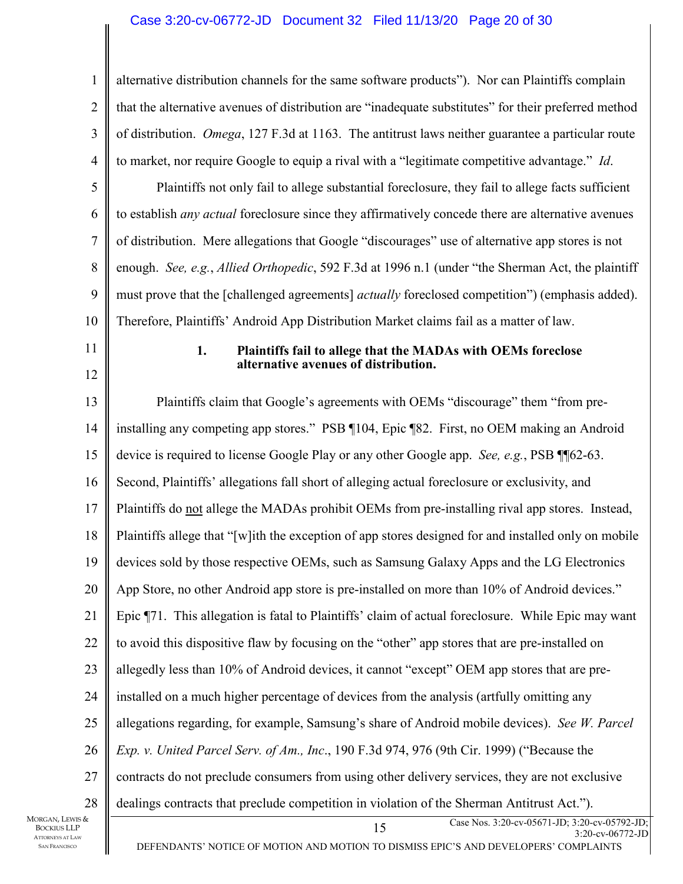#### Case 3:20-cv-06772-JD Document 32 Filed 11/13/20 Page 20 of 30

15 Case Nos. 3:20-cv-05671-JD; 3:20-cv-05792-JD; 1 2 3 4 5 6 7 8 9 10 11 12 13 14 15 16 17 18 19 20 21 22 23 24 25 26 27 28 MORGAN, LEWIS & alternative distribution channels for the same software products"). Nor can Plaintiffs complain that the alternative avenues of distribution are "inadequate substitutes" for their preferred method of distribution. *Omega*, 127 F.3d at 1163. The antitrust laws neither guarantee a particular route to market, nor require Google to equip a rival with a "legitimate competitive advantage." *Id*. Plaintiffs not only fail to allege substantial foreclosure, they fail to allege facts sufficient to establish *any actual* foreclosure since they affirmatively concede there are alternative avenues of distribution. Mere allegations that Google "discourages" use of alternative app stores is not enough. *See, e.g.*, *Allied Orthopedic*, 592 F.3d at 1996 n.1 (under "the Sherman Act, the plaintiff must prove that the [challenged agreements] *actually* foreclosed competition") (emphasis added). Therefore, Plaintiffs' Android App Distribution Market claims fail as a matter of law. **1. Plaintiffs fail to allege that the MADAs with OEMs foreclose alternative avenues of distribution.**  Plaintiffs claim that Google's agreements with OEMs "discourage" them "from preinstalling any competing app stores." PSB ¶104, Epic ¶82. First, no OEM making an Android device is required to license Google Play or any other Google app. *See, e.g.*, PSB ¶¶62-63. Second, Plaintiffs' allegations fall short of alleging actual foreclosure or exclusivity, and Plaintiffs do not allege the MADAs prohibit OEMs from pre-installing rival app stores. Instead, Plaintiffs allege that "[w]ith the exception of app stores designed for and installed only on mobile devices sold by those respective OEMs, such as Samsung Galaxy Apps and the LG Electronics App Store, no other Android app store is pre-installed on more than 10% of Android devices." Epic ¶71. This allegation is fatal to Plaintiffs' claim of actual foreclosure. While Epic may want to avoid this dispositive flaw by focusing on the "other" app stores that are pre-installed on allegedly less than 10% of Android devices, it cannot "except" OEM app stores that are preinstalled on a much higher percentage of devices from the analysis (artfully omitting any allegations regarding, for example, Samsung's share of Android mobile devices). *See W. Parcel Exp. v. United Parcel Serv. of Am., Inc*., 190 F.3d 974, 976 (9th Cir. 1999) ("Because the contracts do not preclude consumers from using other delivery services, they are not exclusive dealings contracts that preclude competition in violation of the Sherman Antitrust Act.").

BOCKIUS LLP ATTORNEYS AT LAW SAN FRANCISCO

DEFENDANTS' NOTICE OF MOTION AND MOTION TO DISMISS EPIC'S AND DEVELOPERS' COMPLAINTS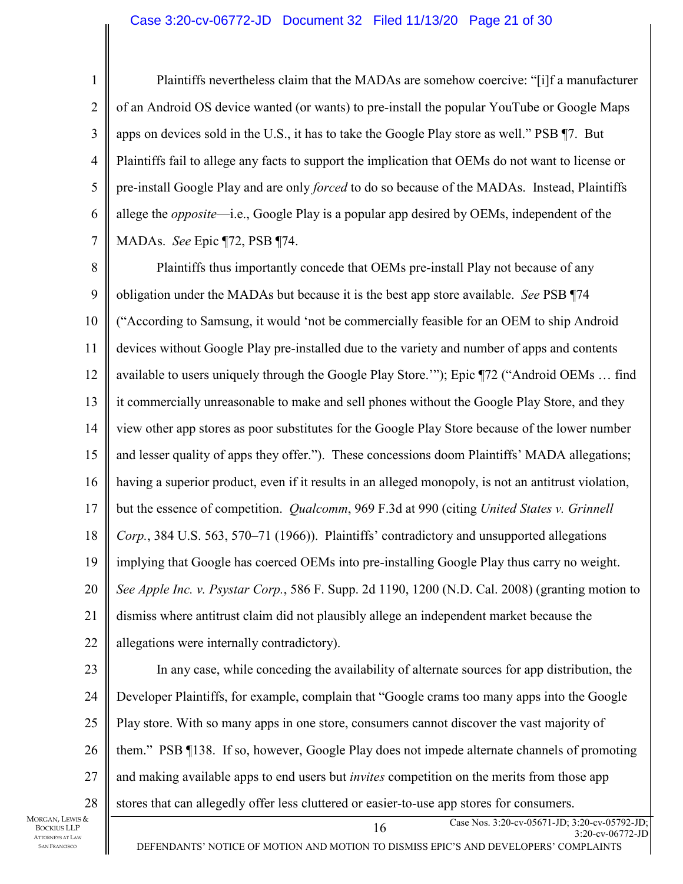#### Case 3:20-cv-06772-JD Document 32 Filed 11/13/20 Page 21 of 30

1 2 3 4 5 6 7 Plaintiffs nevertheless claim that the MADAs are somehow coercive: "[i]f a manufacturer of an Android OS device wanted (or wants) to pre-install the popular YouTube or Google Maps apps on devices sold in the U.S., it has to take the Google Play store as well." PSB ¶7. But Plaintiffs fail to allege any facts to support the implication that OEMs do not want to license or pre-install Google Play and are only *forced* to do so because of the MADAs. Instead, Plaintiffs allege the *opposite*—i.e., Google Play is a popular app desired by OEMs, independent of the MADAs. *See* Epic ¶72, PSB ¶74.

8 9 10 11 12 13 14 15 16 17 18 19 20 21 22 Plaintiffs thus importantly concede that OEMs pre-install Play not because of any obligation under the MADAs but because it is the best app store available. *See* PSB ¶74 ("According to Samsung, it would 'not be commercially feasible for an OEM to ship Android devices without Google Play pre-installed due to the variety and number of apps and contents available to users uniquely through the Google Play Store.'"); Epic ¶72 ("Android OEMs … find it commercially unreasonable to make and sell phones without the Google Play Store, and they view other app stores as poor substitutes for the Google Play Store because of the lower number and lesser quality of apps they offer."). These concessions doom Plaintiffs' MADA allegations; having a superior product, even if it results in an alleged monopoly, is not an antitrust violation, but the essence of competition. *Qualcomm*, 969 F.3d at 990 (citing *United States v. Grinnell Corp.*, 384 U.S. 563, 570–71 (1966)). Plaintiffs' contradictory and unsupported allegations implying that Google has coerced OEMs into pre-installing Google Play thus carry no weight. *See Apple Inc. v. Psystar Corp.*, 586 F. Supp. 2d 1190, 1200 (N.D. Cal. 2008) (granting motion to dismiss where antitrust claim did not plausibly allege an independent market because the allegations were internally contradictory).

23 24 25 26 27 28 In any case, while conceding the availability of alternate sources for app distribution, the Developer Plaintiffs, for example, complain that "Google crams too many apps into the Google Play store. With so many apps in one store, consumers cannot discover the vast majority of them." PSB ¶138. If so, however, Google Play does not impede alternate channels of promoting and making available apps to end users but *invites* competition on the merits from those app stores that can allegedly offer less cluttered or easier-to-use app stores for consumers.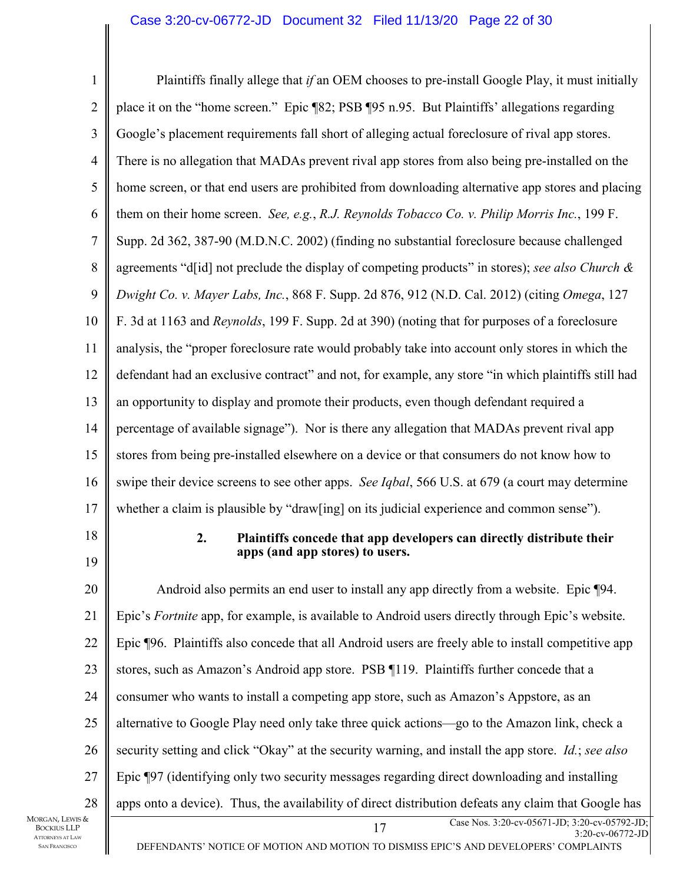| $\mathbf{1}$   | Plaintiffs finally allege that if an OEM chooses to pre-install Google Play, it must initially                |
|----------------|---------------------------------------------------------------------------------------------------------------|
| $\overline{2}$ | place it on the "home screen." Epic ¶82; PSB ¶95 n.95. But Plaintiffs' allegations regarding                  |
| 3              | Google's placement requirements fall short of alleging actual foreclosure of rival app stores.                |
| $\overline{4}$ | There is no allegation that MADAs prevent rival app stores from also being pre-installed on the               |
| 5              | home screen, or that end users are prohibited from downloading alternative app stores and placing             |
| 6              | them on their home screen. See, e.g., R.J. Reynolds Tobacco Co. v. Philip Morris Inc., 199 F.                 |
| $\tau$         | Supp. 2d 362, 387-90 (M.D.N.C. 2002) (finding no substantial foreclosure because challenged                   |
| 8              | agreements "d[id] not preclude the display of competing products" in stores); see also Church &               |
| 9              | Dwight Co. v. Mayer Labs, Inc., 868 F. Supp. 2d 876, 912 (N.D. Cal. 2012) (citing Omega, 127                  |
| 10             | F. 3d at 1163 and <i>Reynolds</i> , 199 F. Supp. 2d at 390) (noting that for purposes of a foreclosure        |
| 11             | analysis, the "proper foreclosure rate would probably take into account only stores in which the              |
| 12             | defendant had an exclusive contract" and not, for example, any store "in which plaintiffs still had           |
| 13             | an opportunity to display and promote their products, even though defendant required a                        |
| 14             | percentage of available signage"). Nor is there any allegation that MADAs prevent rival app                   |
| 15             | stores from being pre-installed elsewhere on a device or that consumers do not know how to                    |
| 16             | swipe their device screens to see other apps. See Iqbal, 566 U.S. at 679 (a court may determine               |
| 17             | whether a claim is plausible by "draw[ing] on its judicial experience and common sense").                     |
| 18<br>19       | 2.<br>Plaintiffs concede that app developers can directly distribute their<br>apps (and app stores) to users. |
| 20             | Android also permits an end user to install any app directly from a website. Epic ¶94.                        |
| 21             | Epic's Fortnite app, for example, is available to Android users directly through Epic's website.              |
| 22             | Epic ¶96. Plaintiffs also concede that all Android users are freely able to install competitive app           |
|                | stores, such as Amazon's Android app store. PSB 119. Plaintiffs further concede that a                        |
| 23             |                                                                                                               |
| 24             | consumer who wants to install a competing app store, such as Amazon's Appstore, as an                         |
| 25             | alternative to Google Play need only take three quick actions—go to the Amazon link, check a                  |
| 26             | security setting and click "Okay" at the security warning, and install the app store. <i>Id.</i> ; see also   |
| 27             | Epic ¶97 (identifying only two security messages regarding direct downloading and installing                  |
| 28             | apps onto a device). Thus, the availability of direct distribution defeats any claim that Google has          |

MORGAN, LEWIS & BOCKIUS LLP ATTORNEYS AT LAW SAN FRANCISCO

DEFENDANTS' NOTICE OF MOTION AND MOTION TO DISMISS EPIC'S AND DEVELOPERS' COMPLAINTS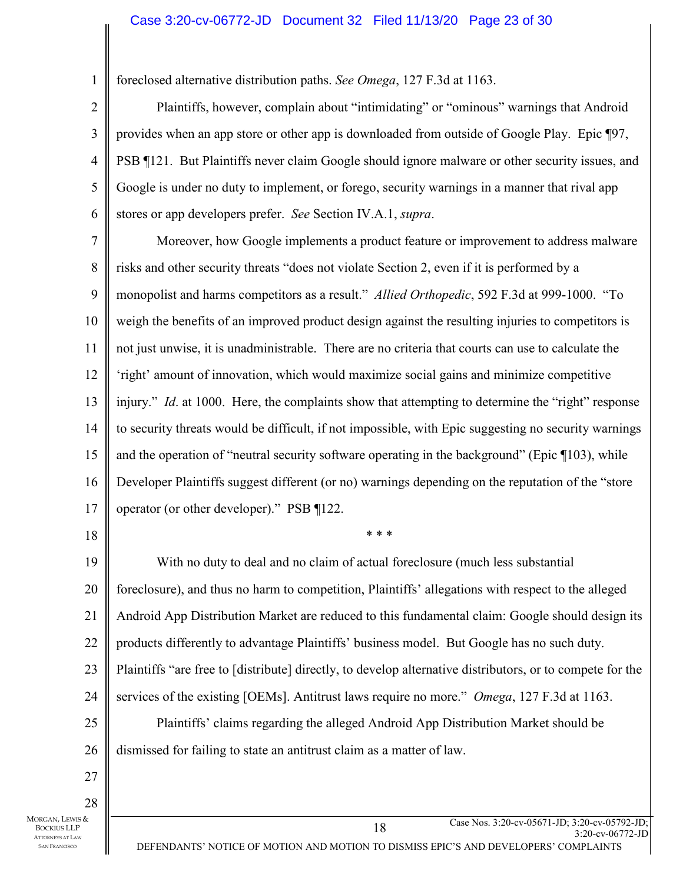foreclosed alternative distribution paths. *See Omega*, 127 F.3d at 1163.

2 3 4 5 6 Plaintiffs, however, complain about "intimidating" or "ominous" warnings that Android provides when an app store or other app is downloaded from outside of Google Play. Epic ¶97, PSB ¶121. But Plaintiffs never claim Google should ignore malware or other security issues, and Google is under no duty to implement, or forego, security warnings in a manner that rival app stores or app developers prefer. *See* Section IV.A.1, *supra*.

7 8 9 10 11 12 13 14 15 16 17 Moreover, how Google implements a product feature or improvement to address malware risks and other security threats "does not violate Section 2, even if it is performed by a monopolist and harms competitors as a result." *Allied Orthopedic*, 592 F.3d at 999-1000. "To weigh the benefits of an improved product design against the resulting injuries to competitors is not just unwise, it is unadministrable. There are no criteria that courts can use to calculate the 'right' amount of innovation, which would maximize social gains and minimize competitive injury." *Id.* at 1000. Here, the complaints show that attempting to determine the "right" response to security threats would be difficult, if not impossible, with Epic suggesting no security warnings and the operation of "neutral security software operating in the background" (Epic ¶103), while Developer Plaintiffs suggest different (or no) warnings depending on the reputation of the "store operator (or other developer)." PSB ¶122.

18

1

19 20 21 22 23 24 25 26 With no duty to deal and no claim of actual foreclosure (much less substantial foreclosure), and thus no harm to competition, Plaintiffs' allegations with respect to the alleged Android App Distribution Market are reduced to this fundamental claim: Google should design its products differently to advantage Plaintiffs' business model. But Google has no such duty. Plaintiffs "are free to [distribute] directly, to develop alternative distributors, or to compete for the services of the existing [OEMs]. Antitrust laws require no more." *Omega*, 127 F.3d at 1163. Plaintiffs' claims regarding the alleged Android App Distribution Market should be dismissed for failing to state an antitrust claim as a matter of law.

\* \* \*

28 MORGAN, LEWIS & BOCKIUS LLP ATTORNEYS AT LAW SAN FRANCISCO

27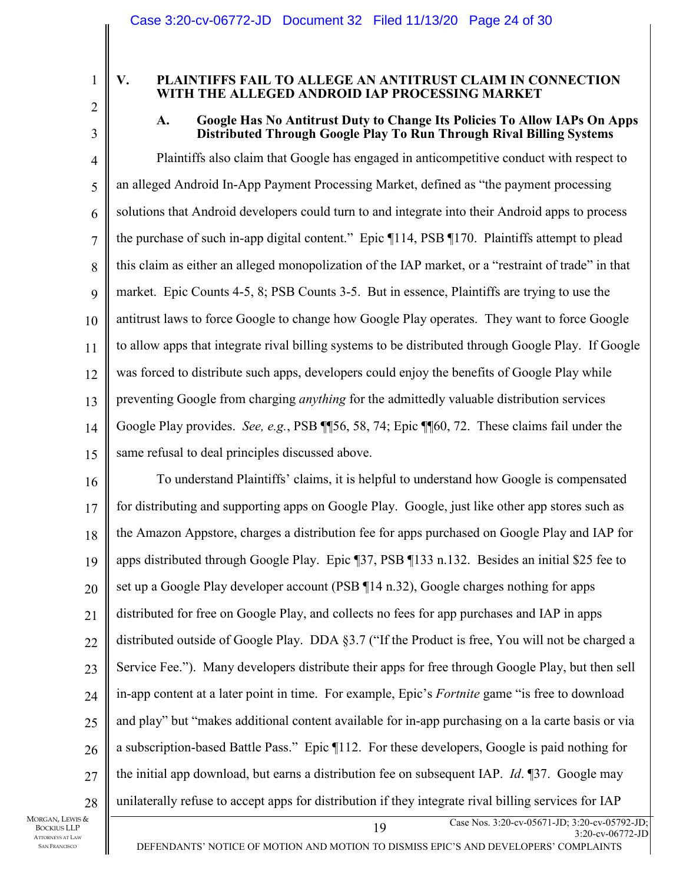1

#### **V. PLAINTIFFS FAIL TO ALLEGE AN ANTITRUST CLAIM IN CONNECTION WITH THE ALLEGED ANDROID IAP PROCESSING MARKET**

# 2 3

## **A. Google Has No Antitrust Duty to Change Its Policies To Allow IAPs On Apps Distributed Through Google Play To Run Through Rival Billing Systems**

4 5 6 7 8 9 10 11 12 13 14 15 Plaintiffs also claim that Google has engaged in anticompetitive conduct with respect to an alleged Android In-App Payment Processing Market, defined as "the payment processing solutions that Android developers could turn to and integrate into their Android apps to process the purchase of such in-app digital content." Epic ¶114, PSB ¶170. Plaintiffs attempt to plead this claim as either an alleged monopolization of the IAP market, or a "restraint of trade" in that market. Epic Counts 4-5, 8; PSB Counts 3-5. But in essence, Plaintiffs are trying to use the antitrust laws to force Google to change how Google Play operates. They want to force Google to allow apps that integrate rival billing systems to be distributed through Google Play. If Google was forced to distribute such apps, developers could enjoy the benefits of Google Play while preventing Google from charging *anything* for the admittedly valuable distribution services Google Play provides. *See, e.g.*, PSB ¶¶56, 58, 74; Epic ¶¶60, 72. These claims fail under the same refusal to deal principles discussed above.

16 17 18 19 20 21 22 23 24 25 26 27 28 To understand Plaintiffs' claims, it is helpful to understand how Google is compensated for distributing and supporting apps on Google Play. Google, just like other app stores such as the Amazon Appstore, charges a distribution fee for apps purchased on Google Play and IAP for apps distributed through Google Play. Epic ¶37, PSB ¶133 n.132. Besides an initial \$25 fee to set up a Google Play developer account (PSB ¶14 n.32), Google charges nothing for apps distributed for free on Google Play, and collects no fees for app purchases and IAP in apps distributed outside of Google Play. DDA §3.7 ("If the Product is free, You will not be charged a Service Fee."). Many developers distribute their apps for free through Google Play, but then sell in-app content at a later point in time. For example, Epic's *Fortnite* game "is free to download and play" but "makes additional content available for in-app purchasing on a la carte basis or via a subscription-based Battle Pass." Epic ¶112. For these developers, Google is paid nothing for the initial app download, but earns a distribution fee on subsequent IAP. *Id*. ¶37. Google may unilaterally refuse to accept apps for distribution if they integrate rival billing services for IAP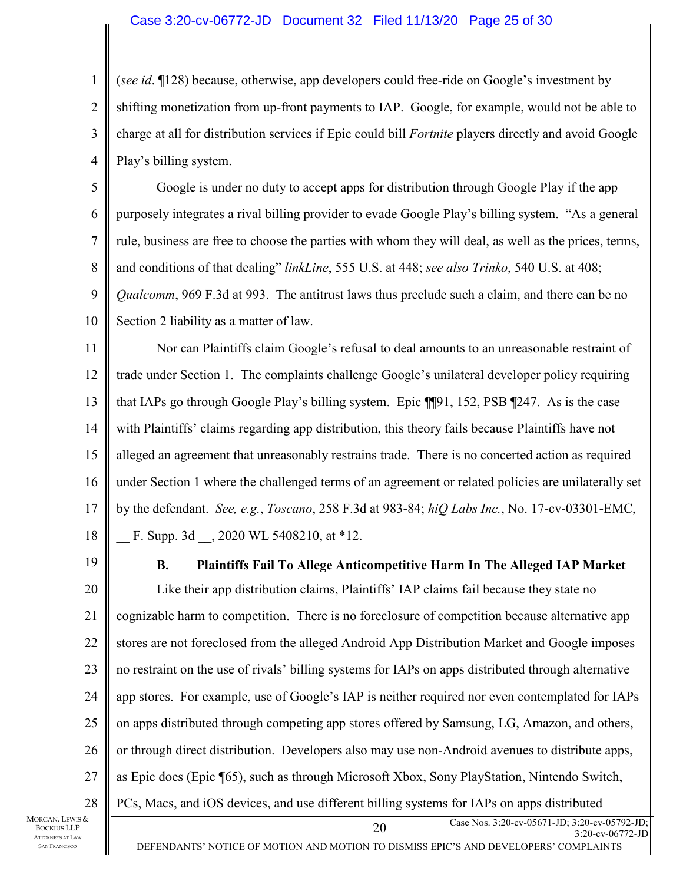#### Case 3:20-cv-06772-JD Document 32 Filed 11/13/20 Page 25 of 30

1 2 3 4 (*see id*. ¶128) because, otherwise, app developers could free-ride on Google's investment by shifting monetization from up-front payments to IAP. Google, for example, would not be able to charge at all for distribution services if Epic could bill *Fortnite* players directly and avoid Google Play's billing system.

5 6 7 8 9 10 Google is under no duty to accept apps for distribution through Google Play if the app purposely integrates a rival billing provider to evade Google Play's billing system. "As a general rule, business are free to choose the parties with whom they will deal, as well as the prices, terms, and conditions of that dealing" *linkLine*, 555 U.S. at 448; *see also Trinko*, 540 U.S. at 408; *Qualcomm*, 969 F.3d at 993. The antitrust laws thus preclude such a claim, and there can be no Section 2 liability as a matter of law.

11 12 13 14 15 16 17 18 Nor can Plaintiffs claim Google's refusal to deal amounts to an unreasonable restraint of trade under Section 1. The complaints challenge Google's unilateral developer policy requiring that IAPs go through Google Play's billing system. Epic ¶¶91, 152, PSB ¶247. As is the case with Plaintiffs' claims regarding app distribution, this theory fails because Plaintiffs have not alleged an agreement that unreasonably restrains trade. There is no concerted action as required under Section 1 where the challenged terms of an agreement or related policies are unilaterally set by the defendant. *See, e.g.*, *Toscano*, 258 F.3d at 983-84; *hiQ Labs Inc.*, No. 17-cv-03301-EMC, F. Supp. 3d . 2020 WL 5408210, at \*12.

19

#### **B. Plaintiffs Fail To Allege Anticompetitive Harm In The Alleged IAP Market**

20 21 22 23 24 25 26 27 28 Like their app distribution claims, Plaintiffs' IAP claims fail because they state no cognizable harm to competition. There is no foreclosure of competition because alternative app stores are not foreclosed from the alleged Android App Distribution Market and Google imposes no restraint on the use of rivals' billing systems for IAPs on apps distributed through alternative app stores. For example, use of Google's IAP is neither required nor even contemplated for IAPs on apps distributed through competing app stores offered by Samsung, LG, Amazon, and others, or through direct distribution. Developers also may use non-Android avenues to distribute apps, as Epic does (Epic ¶65), such as through Microsoft Xbox, Sony PlayStation, Nintendo Switch, PCs, Macs, and iOS devices, and use different billing systems for IAPs on apps distributed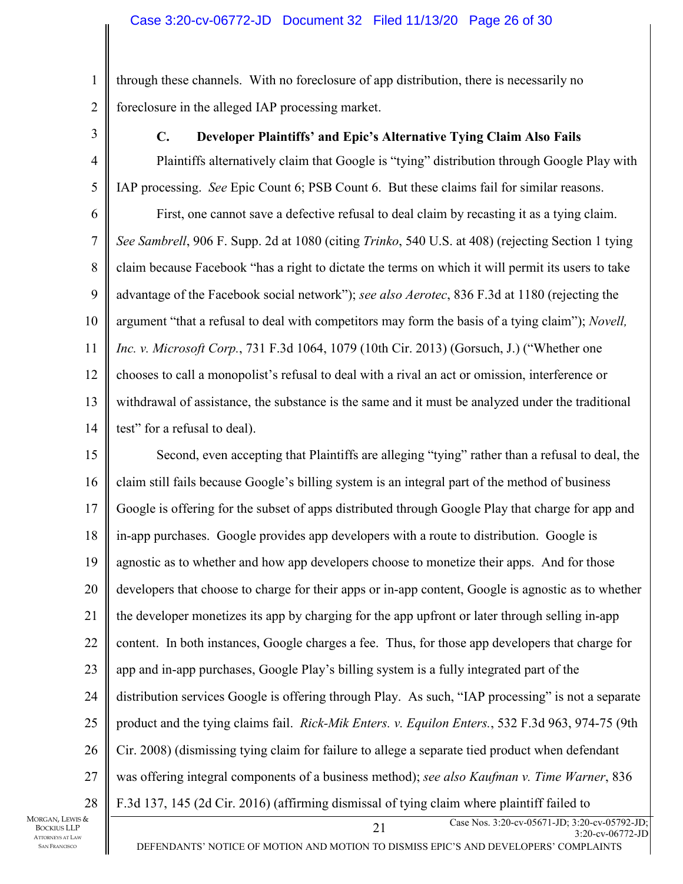through these channels. With no foreclosure of app distribution, there is necessarily no foreclosure in the alleged IAP processing market.

3

1

2

### **C. Developer Plaintiffs' and Epic's Alternative Tying Claim Also Fails**

4 5 6 7 8 9 10 11 12 13 14 Plaintiffs alternatively claim that Google is "tying" distribution through Google Play with IAP processing. *See* Epic Count 6; PSB Count 6. But these claims fail for similar reasons. First, one cannot save a defective refusal to deal claim by recasting it as a tying claim. *See Sambrell*, 906 F. Supp. 2d at 1080 (citing *Trinko*, 540 U.S. at 408) (rejecting Section 1 tying claim because Facebook "has a right to dictate the terms on which it will permit its users to take advantage of the Facebook social network"); *see also Aerotec*, 836 F.3d at 1180 (rejecting the argument "that a refusal to deal with competitors may form the basis of a tying claim"); *Novell, Inc. v. Microsoft Corp.*, 731 F.3d 1064, 1079 (10th Cir. 2013) (Gorsuch, J.) ("Whether one chooses to call a monopolist's refusal to deal with a rival an act or omission, interference or withdrawal of assistance, the substance is the same and it must be analyzed under the traditional test" for a refusal to deal).

15 16 17 18 19 20 21 22 23 24 25 26 27 28 Second, even accepting that Plaintiffs are alleging "tying" rather than a refusal to deal, the claim still fails because Google's billing system is an integral part of the method of business Google is offering for the subset of apps distributed through Google Play that charge for app and in-app purchases. Google provides app developers with a route to distribution. Google is agnostic as to whether and how app developers choose to monetize their apps. And for those developers that choose to charge for their apps or in-app content, Google is agnostic as to whether the developer monetizes its app by charging for the app upfront or later through selling in-app content. In both instances, Google charges a fee. Thus, for those app developers that charge for app and in-app purchases, Google Play's billing system is a fully integrated part of the distribution services Google is offering through Play. As such, "IAP processing" is not a separate product and the tying claims fail. *Rick-Mik Enters. v. Equilon Enters.*, 532 F.3d 963, 974-75 (9th Cir. 2008) (dismissing tying claim for failure to allege a separate tied product when defendant was offering integral components of a business method); *see also Kaufman v. Time Warner*, 836 F.3d 137, 145 (2d Cir. 2016) (affirming dismissal of tying claim where plaintiff failed to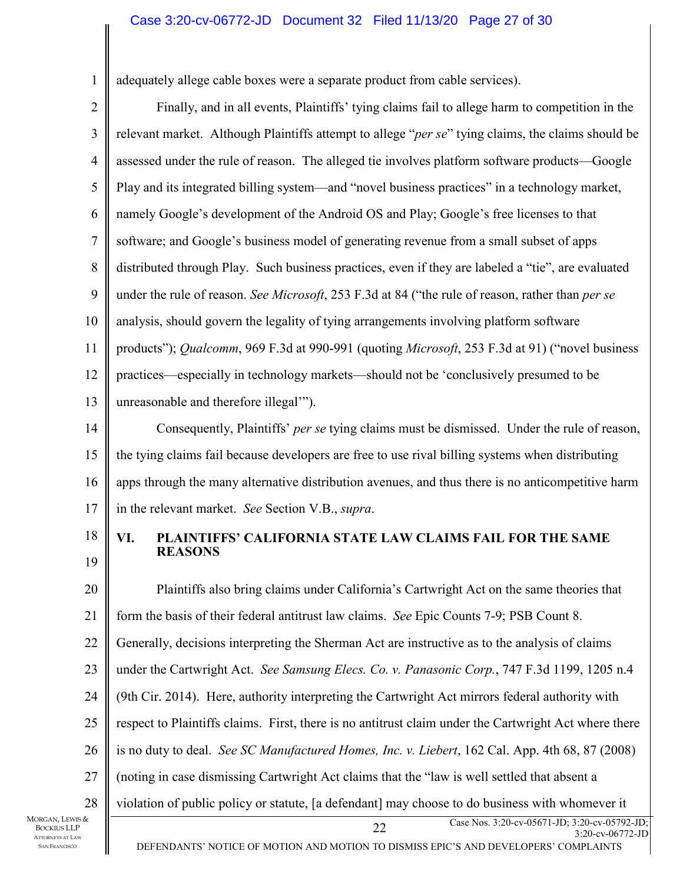#### Case 3:20-cv-06772-JD Document 32 Filed 11/13/20 Page 27 of 30

adequately allege cable boxes were a separate product from cable services).

2

1

3 4 5 6 7 8 9 10 11 12 13 Finally, and in all events, Plaintiffs' tying claims fail to allege harm to competition in the relevant market. Although Plaintiffs attempt to allege "*per se*" tying claims, the claims should be assessed under the rule of reason. The alleged tie involves platform software products—Google Play and its integrated billing system—and "novel business practices" in a technology market, namely Google's development of the Android OS and Play; Google's free licenses to that software; and Google's business model of generating revenue from a small subset of apps distributed through Play. Such business practices, even if they are labeled a "tie", are evaluated under the rule of reason. *See Microsoft*, 253 F.3d at 84 ("the rule of reason, rather than *per se* analysis, should govern the legality of tying arrangements involving platform software products"); *Qualcomm*, 969 F.3d at 990-991 (quoting *Microsoft*, 253 F.3d at 91) ("novel business practices—especially in technology markets—should not be 'conclusively presumed to be unreasonable and therefore illegal'").

14 15 16 17 Consequently, Plaintiffs' *per se* tying claims must be dismissed. Under the rule of reason, the tying claims fail because developers are free to use rival billing systems when distributing apps through the many alternative distribution avenues, and thus there is no anticompetitive harm in the relevant market. *See* Section V.B., *supra*.

18 19

### **VI. PLAINTIFFS' CALIFORNIA STATE LAW CLAIMS FAIL FOR THE SAME REASONS**

Case Nos. 3:20-cv-05671-JD; 3:20-cv-05792-JD;<br>22 23 23 23 23 23 23 24 20 21 22 23 24 25 26 27 28 Plaintiffs also bring claims under California's Cartwright Act on the same theories that form the basis of their federal antitrust law claims. *See* Epic Counts 7-9; PSB Count 8. Generally, decisions interpreting the Sherman Act are instructive as to the analysis of claims under the Cartwright Act. *See Samsung Elecs. Co. v. Panasonic Corp.*, 747 F.3d 1199, 1205 n.4 (9th Cir. 2014). Here, authority interpreting the Cartwright Act mirrors federal authority with respect to Plaintiffs claims. First, there is no antitrust claim under the Cartwright Act where there is no duty to deal. *See SC Manufactured Homes, Inc. v. Liebert*, 162 Cal. App. 4th 68, 87 (2008) (noting in case dismissing Cartwright Act claims that the "law is well settled that absent a violation of public policy or statute, [a defendant] may choose to do business with whomever it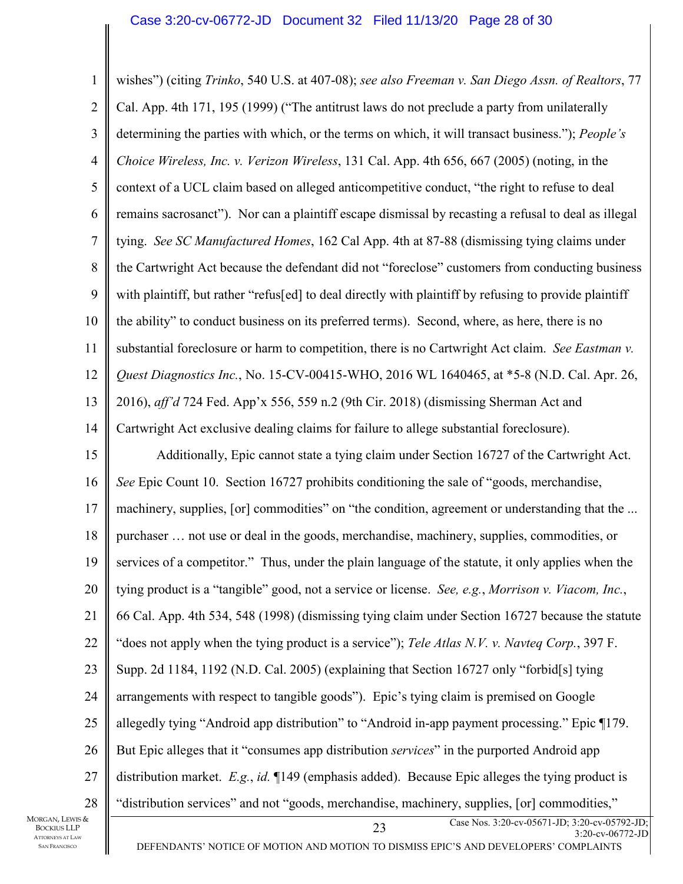Case Nos. 3:20-cv-05671-JD; 3:20-cv-05792-JD;<br>23 22:20-com 3:20-cv-06772-JD 1 2 3 4 5 6 7 8 9 10 11 12 13 14 15 16 17 18 19 20 21 22 23 24 25 26 27 28 wishes") (citing *Trinko*, 540 U.S. at 407-08); *see also Freeman v. San Diego Assn. of Realtors*, 77 Cal. App. 4th 171, 195 (1999) ("The antitrust laws do not preclude a party from unilaterally determining the parties with which, or the terms on which, it will transact business."); *People's Choice Wireless, Inc. v. Verizon Wireless*, 131 Cal. App. 4th 656, 667 (2005) (noting, in the context of a UCL claim based on alleged anticompetitive conduct, "the right to refuse to deal remains sacrosanct"). Nor can a plaintiff escape dismissal by recasting a refusal to deal as illegal tying. *See SC Manufactured Homes*, 162 Cal App. 4th at 87-88 (dismissing tying claims under the Cartwright Act because the defendant did not "foreclose" customers from conducting business with plaintiff, but rather "refus[ed] to deal directly with plaintiff by refusing to provide plaintiff the ability" to conduct business on its preferred terms). Second, where, as here, there is no substantial foreclosure or harm to competition, there is no Cartwright Act claim. *See Eastman v. Quest Diagnostics Inc.*, No. 15-CV-00415-WHO, 2016 WL 1640465, at \*5-8 (N.D. Cal. Apr. 26, 2016), *aff'd* 724 Fed. App'x 556, 559 n.2 (9th Cir. 2018) (dismissing Sherman Act and Cartwright Act exclusive dealing claims for failure to allege substantial foreclosure). Additionally, Epic cannot state a tying claim under Section 16727 of the Cartwright Act. *See* Epic Count 10. Section 16727 prohibits conditioning the sale of "goods, merchandise, machinery, supplies, [or] commodities" on "the condition, agreement or understanding that the ... purchaser … not use or deal in the goods, merchandise, machinery, supplies, commodities, or services of a competitor." Thus, under the plain language of the statute, it only applies when the tying product is a "tangible" good, not a service or license. *See, e.g.*, *Morrison v. Viacom, Inc.*, 66 Cal. App. 4th 534, 548 (1998) (dismissing tying claim under Section 16727 because the statute "does not apply when the tying product is a service"); *Tele Atlas N.V. v. Navteq Corp.*, 397 F. Supp. 2d 1184, 1192 (N.D. Cal. 2005) (explaining that Section 16727 only "forbid[s] tying arrangements with respect to tangible goods"). Epic's tying claim is premised on Google allegedly tying "Android app distribution" to "Android in-app payment processing." Epic ¶179. But Epic alleges that it "consumes app distribution *services*" in the purported Android app distribution market. *E.g.*, *id.* ¶149 (emphasis added). Because Epic alleges the tying product is "distribution services" and not "goods, merchandise, machinery, supplies, [or] commodities,"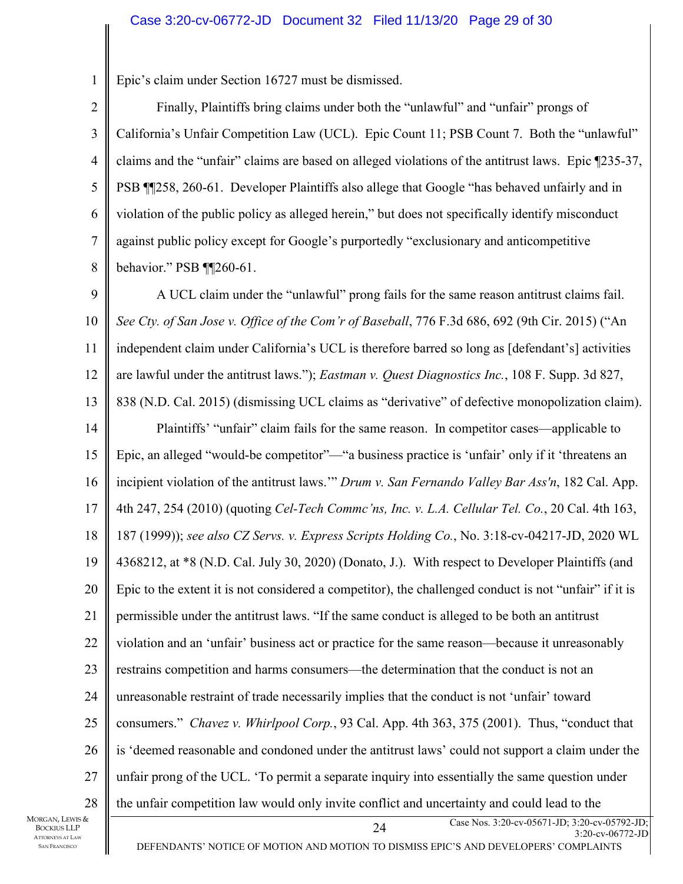1 Epic's claim under Section 16727 must be dismissed.

2 3 4 5 6 7 8 Finally, Plaintiffs bring claims under both the "unlawful" and "unfair" prongs of California's Unfair Competition Law (UCL). Epic Count 11; PSB Count 7. Both the "unlawful" claims and the "unfair" claims are based on alleged violations of the antitrust laws. Epic ¶235-37, PSB ¶¶258, 260-61. Developer Plaintiffs also allege that Google "has behaved unfairly and in violation of the public policy as alleged herein," but does not specifically identify misconduct against public policy except for Google's purportedly "exclusionary and anticompetitive behavior." PSB ¶¶260-61.

Case Nos. 3:20-cv-05671-JD; 3:20-cv-05792-JD;<br>2.20 - 2.20 - 2.20 - 2.20 - 2.20 - 2.20 - 2.20 - 2.20 - 2.20 - 2.20 - 2.20 - 2.20 - 2.20 - 2.20 - 2.20 - 2.20 - 2.20 - 2.20 - 2.20 - 2.20 - 2.20 - 2.20 - 2.20 - 2.20 - 2.20 - 2 9 10 11 12 13 14 15 16 17 18 19 20 21 22 23 24 25 26 27 28 A UCL claim under the "unlawful" prong fails for the same reason antitrust claims fail. *See Cty. of San Jose v. Office of the Com'r of Baseball*, 776 F.3d 686, 692 (9th Cir. 2015) ("An independent claim under California's UCL is therefore barred so long as [defendant's] activities are lawful under the antitrust laws."); *Eastman v. Quest Diagnostics Inc.*, 108 F. Supp. 3d 827, 838 (N.D. Cal. 2015) (dismissing UCL claims as "derivative" of defective monopolization claim). Plaintiffs' "unfair" claim fails for the same reason. In competitor cases—applicable to Epic, an alleged "would-be competitor"—"a business practice is 'unfair' only if it 'threatens an incipient violation of the antitrust laws.'" *Drum v. San Fernando Valley Bar Ass'n*, 182 Cal. App. 4th 247, 254 (2010) (quoting *Cel-Tech Commc'ns, Inc. v. L.A. Cellular Tel. Co.*, 20 Cal. 4th 163, 187 (1999)); *see also CZ Servs. v. Express Scripts Holding Co.*, No. 3:18-cv-04217-JD, 2020 WL 4368212, at \*8 (N.D. Cal. July 30, 2020) (Donato, J.). With respect to Developer Plaintiffs (and Epic to the extent it is not considered a competitor), the challenged conduct is not "unfair" if it is permissible under the antitrust laws. "If the same conduct is alleged to be both an antitrust violation and an 'unfair' business act or practice for the same reason—because it unreasonably restrains competition and harms consumers—the determination that the conduct is not an unreasonable restraint of trade necessarily implies that the conduct is not 'unfair' toward consumers." *Chavez v. Whirlpool Corp.*, 93 Cal. App. 4th 363, 375 (2001). Thus, "conduct that is 'deemed reasonable and condoned under the antitrust laws' could not support a claim under the unfair prong of the UCL. 'To permit a separate inquiry into essentially the same question under the unfair competition law would only invite conflict and uncertainty and could lead to the

MORGAN, LEWIS & BOCKIUS LLP ATTORNEYS AT LAW SAN FRANCISCO

DEFENDANTS' NOTICE OF MOTION AND MOTION TO DISMISS EPIC'S AND DEVELOPERS' COMPLAINTS